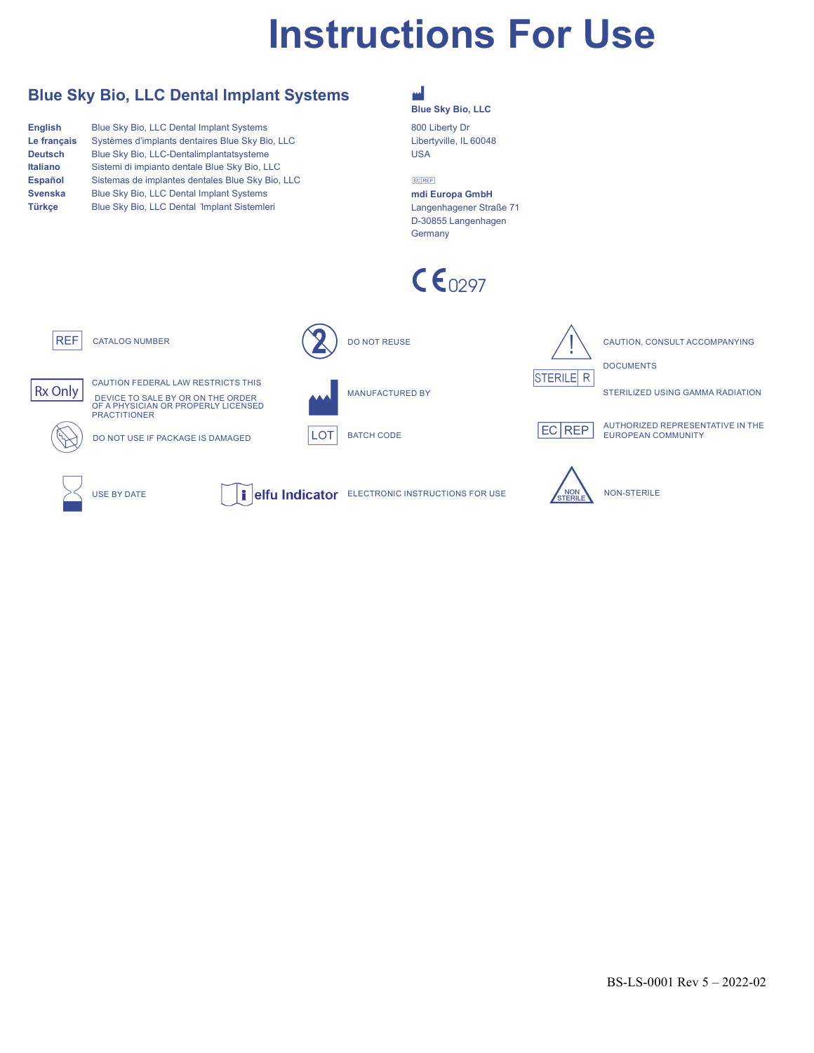# **Instructions For Use**

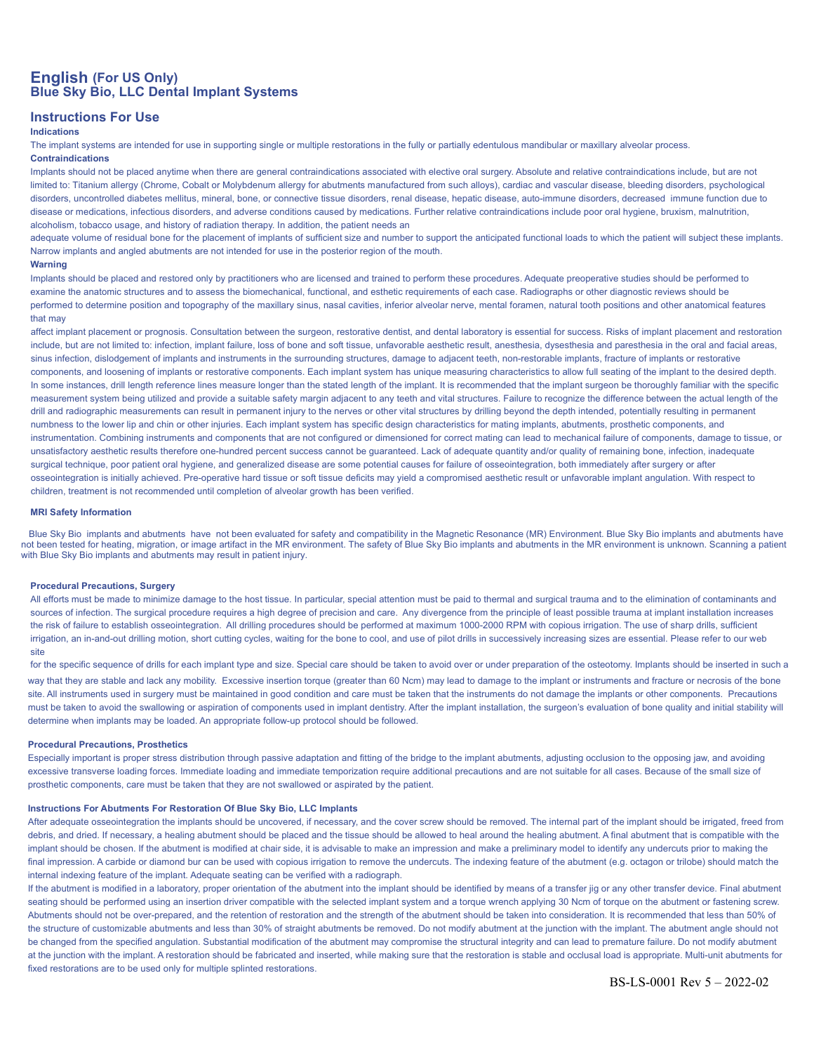# **English (For US Only) Blue Sky Bio, LLC Dental Implant Systems**

# **Instructions For Use**

#### **Indications**

The implant systems are intended for use in supporting single or multiple restorations in the fully or partially edentulous mandibular or maxillary alveolar process. **Contraindications**

Implants should not be placed anytime when there are general contraindications associated with elective oral surgery. Absolute and relative contraindications include, but are not limited to: Titanium allergy (Chrome, Cobalt or Molybdenum allergy for abutments manufactured from such alloys), cardiac and vascular disease, bleeding disorders, psychological disorders, uncontrolled diabetes mellitus, mineral, bone, or connective tissue disorders, renal disease, hepatic disease, auto-immune disorders, decreased immune function due to disease or medications, infectious disorders, and adverse conditions caused by medications. Further relative contraindications include poor oral hygiene, bruxism, malnutrition, alcoholism, tobacco usage, and history of radiation therapy. In addition, the patient needs an

adequate volume of residual bone for the placement of implants of sufficient size and number to support the anticipated functional loads to which the patient will subject these implants. Narrow implants and angled abutments are not intended for use in the posterior region of the mouth.

#### **Warning**

Implants should be placed and restored only by practitioners who are licensed and trained to perform these procedures. Adequate preoperative studies should be performed to examine the anatomic structures and to assess the biomechanical, functional, and esthetic requirements of each case. Radiographs or other diagnostic reviews should be performed to determine position and topography of the maxillary sinus, nasal cavities, inferior alveolar nerve, mental foramen, natural tooth positions and other anatomical features that may

affect implant placement or prognosis. Consultation between the surgeon, restorative dentist, and dental laboratory is essential for success. Risks of implant placement and restoration include, but are not limited to: infection, implant failure, loss of bone and soft tissue, unfavorable aesthetic result, anesthesia, dysesthesia and paresthesia in the oral and facial areas, sinus infection, dislodgement of implants and instruments in the surrounding structures, damage to adjacent teeth, non-restorable implants, fracture of implants or restorative components, and loosening of implants or restorative components. Each implant system has unique measuring characteristics to allow full seating of the implant to the desired depth. In some instances, drill length reference lines measure longer than the stated length of the implant. It is recommended that the implant surgeon be thoroughly familiar with the specific measurement system being utilized and provide a suitable safety margin adjacent to any teeth and vital structures. Failure to recognize the difference between the actual length of the drill and radiographic measurements can result in permanent injury to the nerves or other vital structures by drilling beyond the depth intended, potentially resulting in permanent numbness to the lower lip and chin or other injuries. Each implant system has specific design characteristics for mating implants, abutments, prosthetic components, and instrumentation. Combining instruments and components that are not configured or dimensioned for correct mating can lead to mechanical failure of components, damage to tissue, or unsatisfactory aesthetic results therefore one-hundred percent success cannot be guaranteed. Lack of adequate quantity and/or quality of remaining bone, infection, inadequate surgical technique, poor patient oral hygiene, and generalized disease are some potential causes for failure of osseointegration, both immediately after surgery or after osseointegration is initially achieved. Pre-operative hard tissue or soft tissue deficits may yield a compromised aesthetic result or unfavorable implant angulation. With respect to children, treatment is not recommended until completion of alveolar growth has been verified.

# **MRI Safety Information**

 Blue Sky Bio implants and abutments have not been evaluated for safety and compatibility in the Magnetic Resonance (MR) Environment. Blue Sky Bio implants and abutments have not been tested for heating, migration, or image artifact in the MR environment. The safety of Blue Sky Bio implants and abutments in the MR environment is unknown. Scanning a patient with Blue Sky Bio implants and abutments may result in patient injury.

# **Procedural Precautions, Surgery**

All efforts must be made to minimize damage to the host tissue. In particular, special attention must be paid to thermal and surgical trauma and to the elimination of contaminants and sources of infection. The surgical procedure requires a high degree of precision and care. Any divergence from the principle of least possible trauma at implant installation increases the risk of failure to establish osseointegration. All drilling procedures should be performed at maximum 1000-2000 RPM with copious irrigation. The use of sharp drills, sufficient irrigation, an in-and-out drilling motion, short cutting cycles, waiting for the bone to cool, and use of pilot drills in successively increasing sizes are essential. Please refer to our web site

for the specific sequence of drills for each implant type and size. Special care should be taken to avoid over or under preparation of the osteotomy. Implants should be inserted in such a

way that they are stable and lack any mobility. Excessive insertion torque (greater than 60 Ncm) may lead to damage to the implant or instruments and fracture or necrosis of the bone site. All instruments used in surgery must be maintained in good condition and care must be taken that the instruments do not damage the implants or other components. Precautions must be taken to avoid the swallowing or aspiration of components used in implant dentistry. After the implant installation, the surgeon's evaluation of bone quality and initial stability will determine when implants may be loaded. An appropriate follow-up protocol should be followed.

# **Procedural Precautions, Prosthetics**

Especially important is proper stress distribution through passive adaptation and fitting of the bridge to the implant abutments, adjusting occlusion to the opposing jaw, and avoiding excessive transverse loading forces. Immediate loading and immediate temporization require additional precautions and are not suitable for all cases. Because of the small size of prosthetic components, care must be taken that they are not swallowed or aspirated by the patient.

# **Instructions For Abutments For Restoration Of Blue Sky Bio, LLC Implants**

After adequate osseointegration the implants should be uncovered, if necessary, and the cover screw should be removed. The internal part of the implant should be irrigated, freed from debris, and dried. If necessary, a healing abutment should be placed and the tissue should be allowed to heal around the healing abutment. A final abutment that is compatible with the implant should be chosen. If the abutment is modified at chair side, it is advisable to make an impression and make a preliminary model to identify any undercuts prior to making the final impression. A carbide or diamond bur can be used with copious irrigation to remove the undercuts. The indexing feature of the abutment (e.g. octagon or trilobe) should match the internal indexing feature of the implant. Adequate seating can be verified with a radiograph.

If the abutment is modified in a laboratory, proper orientation of the abutment into the implant should be identified by means of a transfer jig or any other transfer device. Final abutment seating should be performed using an insertion driver compatible with the selected implant system and a torque wrench applying 30 Ncm of torque on the abutment or fastening screw. Abutments should not be over-prepared, and the retention of restoration and the strength of the abutment should be taken into consideration. It is recommended that less than 50% of the structure of customizable abutments and less than 30% of straight abutments be removed. Do not modify abutment at the junction with the implant. The abutment angle should not be changed from the specified angulation. Substantial modification of the abutment may compromise the structural integrity and can lead to premature failure. Do not modify abutment at the junction with the implant. A restoration should be fabricated and inserted, while making sure that the restoration is stable and occlusal load is appropriate. Multi-unit abutments for fixed restorations are to be used only for multiple splinted restorations.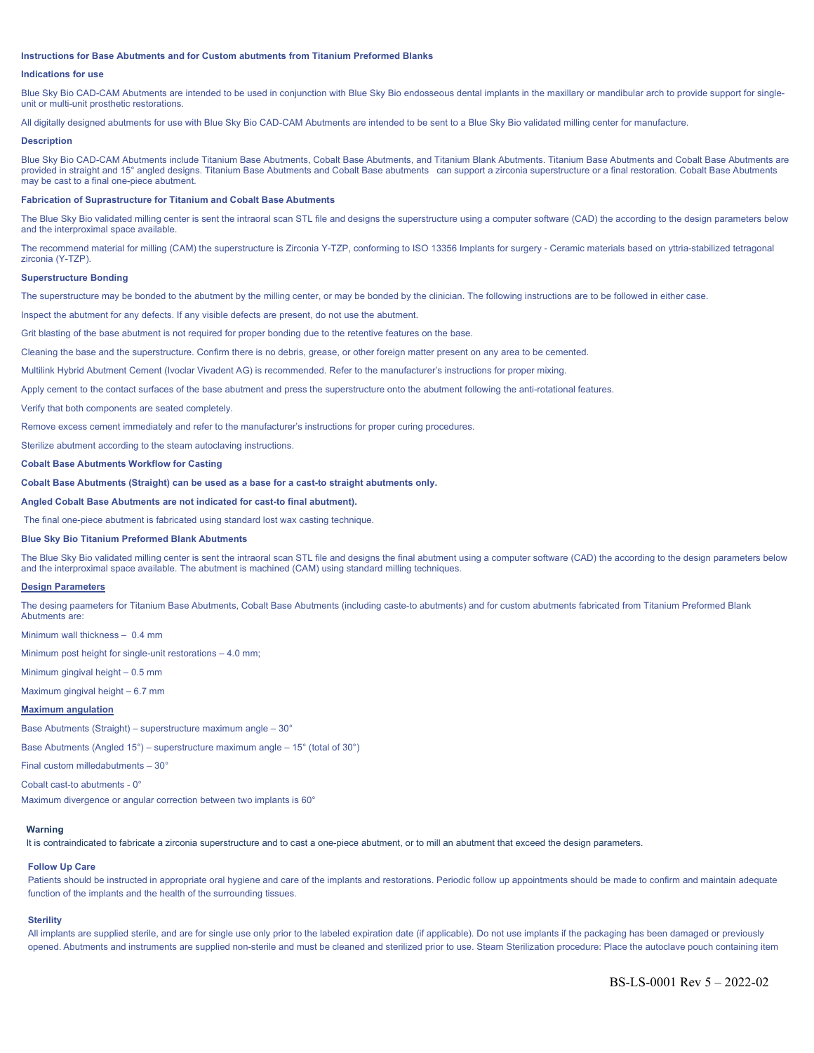#### **Instructions for Base Abutments and for Custom abutments from Titanium Preformed Blanks**

# **Indications for use**

Blue Sky Bio CAD-CAM Abutments are intended to be used in conjunction with Blue Sky Bio endosseous dental implants in the maxillary or mandibular arch to provide support for singleunit or multi-unit prosthetic restorations.

All digitally designed abutments for use with Blue Sky Bio CAD-CAM Abutments are intended to be sent to a Blue Sky Bio validated milling center for manufacture.

#### **Description**

Blue Sky Bio CAD-CAM Abutments include Titanium Base Abutments, Cobalt Base Abutments, and Titanium Blank Abutments. Titanium Base Abutments and Cobalt Base Abutments are provided in straight and 15° angled designs. Titanium Base Abutments and Cobalt Base abutments can support a zirconia superstructure or a final restoration. Cobalt Base Abutments may be cast to a final one-piece abutment.

#### **Fabrication of Suprastructure for Titanium and Cobalt Base Abutments**

The Blue Sky Bio validated milling center is sent the intraoral scan STL file and designs the superstructure using a computer software (CAD) the according to the design parameters below and the interproximal space available.

The recommend material for milling (CAM) the superstructure is Zirconia Y-TZP, conforming to ISO 13356 Implants for surgery - Ceramic materials based on yttria-stabilized tetragonal zirconia (Y-TZP).

# **Superstructure Bonding**

The superstructure may be bonded to the abutment by the milling center, or may be bonded by the clinician. The following instructions are to be followed in either case.

Inspect the abutment for any defects. If any visible defects are present, do not use the abutment.

Grit blasting of the base abutment is not required for proper bonding due to the retentive features on the base.

Cleaning the base and the superstructure. Confirm there is no debris, grease, or other foreign matter present on any area to be cemented.

Multilink Hybrid Abutment Cement (Ivoclar Vivadent AG) is recommended. Refer to the manufacturer's instructions for proper mixing.

Apply cement to the contact surfaces of the base abutment and press the superstructure onto the abutment following the anti-rotational features.

Verify that both components are seated completely.

Remove excess cement immediately and refer to the manufacturer's instructions for proper curing procedures.

Sterilize abutment according to the steam autoclaving instructions.

# **Cobalt Base Abutments Workflow for Casting**

#### **Cobalt Base Abutments (Straight) can be used as a base for a cast-to straight abutments only.**

**Angled Cobalt Base Abutments are not indicated for cast-to final abutment).**

The final one-piece abutment is fabricated using standard lost wax casting technique.

# **Blue Sky Bio Titanium Preformed Blank Abutments**

The Blue Sky Bio validated milling center is sent the intraoral scan STL file and designs the final abutment using a computer software (CAD) the according to the design parameters below and the interproximal space available. The abutment is machined (CAM) using standard milling techniques.

#### **Design Parameters**

The desing paameters for Titanium Base Abutments, Cobalt Base Abutments (including caste-to abutments) and for custom abutments fabricated from Titanium Preformed Blank Abutments are:

Minimum wall thickness – 0.4 mm

Minimum post height for single-unit restorations – 4.0 mm;

Minimum gingival height – 0.5 mm

Maximum gingival height – 6.7 mm

# **Maximum angulation**

Base Abutments (Straight) – superstructure maximum angle – 30°

Base Abutments (Angled 15°) – superstructure maximum angle – 15° (total of 30°)

Final custom milledabutments – 30°

Cobalt cast-to abutments - 0°

Maximum divergence or angular correction between two implants is 60°

# **Warning**

It is contraindicated to fabricate a zirconia superstructure and to cast a one-piece abutment, or to mill an abutment that exceed the design parameters.

# **Follow Up Care**

Patients should be instructed in appropriate oral hygiene and care of the implants and restorations. Periodic follow up appointments should be made to confirm and maintain adequate function of the implants and the health of the surrounding tissues.

# **Sterility**

All implants are supplied sterile, and are for single use only prior to the labeled expiration date (if applicable). Do not use implants if the packaging has been damaged or previously opened. Abutments and instruments are supplied non-sterile and must be cleaned and sterilized prior to use. Steam Sterilization procedure: Place the autoclave pouch containing item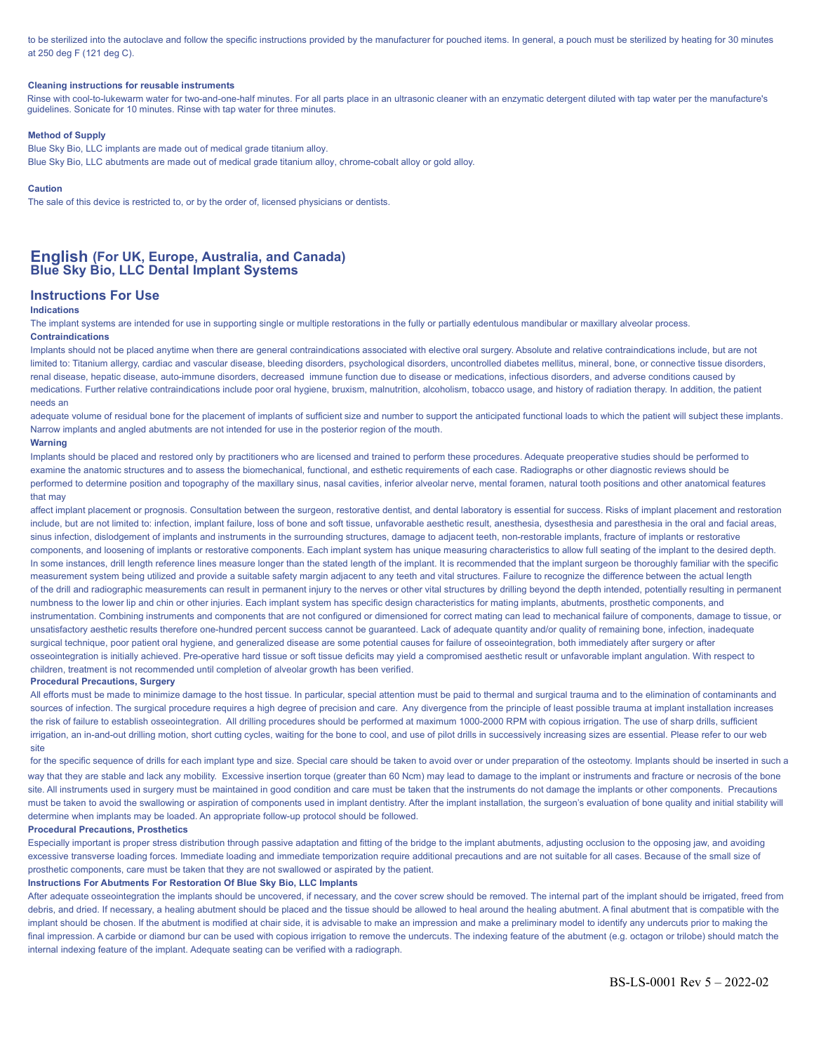to be sterilized into the autoclave and follow the specific instructions provided by the manufacturer for pouched items. In general, a pouch must be sterilized by heating for 30 minutes at 250 deg F (121 deg C).

# **Cleaning instructions for reusable instruments**

Rinse with cool-to-lukewarm water for two-and-one-half minutes. For all parts place in an ultrasonic cleaner with an enzymatic detergent diluted with tap water per the manufacture's guidelines. Sonicate for 10 minutes. Rinse with tap water for three minutes.

# **Method of Supply**

Blue Sky Bio, LLC implants are made out of medical grade titanium alloy. Blue Sky Bio, LLC abutments are made out of medical grade titanium alloy, chrome-cobalt alloy or gold alloy.

# **Caution**

The sale of this device is restricted to, or by the order of, licensed physicians or dentists.

# **English (For UK, Europe, Australia, and Canada) Blue Sky Bio, LLC Dental Implant Systems**

# **Instructions For Use**

# **Indications**

The implant systems are intended for use in supporting single or multiple restorations in the fully or partially edentulous mandibular or maxillary alveolar process. **Contraindications**

Implants should not be placed anytime when there are general contraindications associated with elective oral surgery. Absolute and relative contraindications include, but are not limited to: Titanium allergy, cardiac and vascular disease, bleeding disorders, psychological disorders, uncontrolled diabetes mellitus, mineral, bone, or connective tissue disorders, renal disease, hepatic disease, auto-immune disorders, decreased immune function due to disease or medications, infectious disorders, and adverse conditions caused by medications. Further relative contraindications include poor oral hygiene, bruxism, malnutrition, alcoholism, tobacco usage, and history of radiation therapy. In addition, the patient needs an

adequate volume of residual bone for the placement of implants of sufficient size and number to support the anticipated functional loads to which the patient will subject these implants. Narrow implants and angled abutments are not intended for use in the posterior region of the mouth.

# **Warning**

Implants should be placed and restored only by practitioners who are licensed and trained to perform these procedures. Adequate preoperative studies should be performed to examine the anatomic structures and to assess the biomechanical, functional, and esthetic requirements of each case. Radiographs or other diagnostic reviews should be performed to determine position and topography of the maxillary sinus, nasal cavities, inferior alveolar nerve, mental foramen, natural tooth positions and other anatomical features that may

affect implant placement or prognosis. Consultation between the surgeon, restorative dentist, and dental laboratory is essential for success. Risks of implant placement and restoration include, but are not limited to: infection, implant failure, loss of bone and soft tissue, unfavorable aesthetic result, anesthesia, dysesthesia and paresthesia in the oral and facial areas, sinus infection, dislodgement of implants and instruments in the surrounding structures, damage to adjacent teeth, non-restorable implants, fracture of implants or restorative components, and loosening of implants or restorative components. Each implant system has unique measuring characteristics to allow full seating of the implant to the desired depth. In some instances, drill length reference lines measure longer than the stated length of the implant, It is recommended that the implant surgeon be thoroughly familiar with the specific measurement system being utilized and provide a suitable safety margin adjacent to any teeth and vital structures. Failure to recognize the difference between the actual length of the drill and radiographic measurements can result in permanent injury to the nerves or other vital structures by drilling beyond the depth intended, potentially resulting in permanent numbness to the lower lip and chin or other injuries. Each implant system has specific design characteristics for mating implants, abutments, prosthetic components, and instrumentation. Combining instruments and components that are not configured or dimensioned for correct mating can lead to mechanical failure of components, damage to tissue, or unsatisfactory aesthetic results therefore one-hundred percent success cannot be guaranteed. Lack of adequate quantity and/or quality of remaining bone, infection, inadequate surgical technique, poor patient oral hygiene, and generalized disease are some potential causes for failure of osseointegration, both immediately after surgery or after osseointegration is initially achieved. Pre-operative hard tissue or soft tissue deficits may yield a compromised aesthetic result or unfavorable implant angulation. With respect to children, treatment is not recommended until completion of alveolar growth has been verified.

# **Procedural Precautions, Surgery**

All efforts must be made to minimize damage to the host tissue. In particular, special attention must be paid to thermal and surgical trauma and to the elimination of contaminants and sources of infection. The surgical procedure requires a high degree of precision and care. Any divergence from the principle of least possible trauma at implant installation increases the risk of failure to establish osseointegration. All drilling procedures should be performed at maximum 1000-2000 RPM with copious irrigation. The use of sharp drills, sufficient irrigation, an in-and-out drilling motion, short cutting cycles, waiting for the bone to cool, and use of pilot drills in successively increasing sizes are essential. Please refer to our web site

for the specific sequence of drills for each implant type and size. Special care should be taken to avoid over or under preparation of the osteotomy. Implants should be inserted in such a way that they are stable and lack any mobility. Excessive insertion torque (greater than 60 Ncm) may lead to damage to the implant or instruments and fracture or necrosis of the bone site. All instruments used in surgery must be maintained in good condition and care must be taken that the instruments do not damage the implants or other components. Precautions must be taken to avoid the swallowing or aspiration of components used in implant dentistry. After the implant installation, the surgeon's evaluation of bone quality and initial stability will determine when implants may be loaded. An appropriate follow-up protocol should be followed.

# **Procedural Precautions, Prosthetics**

Especially important is proper stress distribution through passive adaptation and fitting of the bridge to the implant abutments, adjusting occlusion to the opposing jaw, and avoiding excessive transverse loading forces. Immediate loading and immediate temporization require additional precautions and are not suitable for all cases. Because of the small size of prosthetic components, care must be taken that they are not swallowed or aspirated by the patient.

### **Instructions For Abutments For Restoration Of Blue Sky Bio, LLC Implants**

After adequate osseointegration the implants should be uncovered, if necessary, and the cover screw should be removed. The internal part of the implant should be irrigated, freed from debris, and dried. If necessary, a healing abutment should be placed and the tissue should be allowed to heal around the healing abutment. A final abutment that is compatible with the implant should be chosen. If the abutment is modified at chair side, it is advisable to make an impression and make a preliminary model to identify any undercuts prior to making the final impression. A carbide or diamond bur can be used with copious irrigation to remove the undercuts. The indexing feature of the abutment (e.g. octagon or trilobe) should match the internal indexing feature of the implant. Adequate seating can be verified with a radiograph.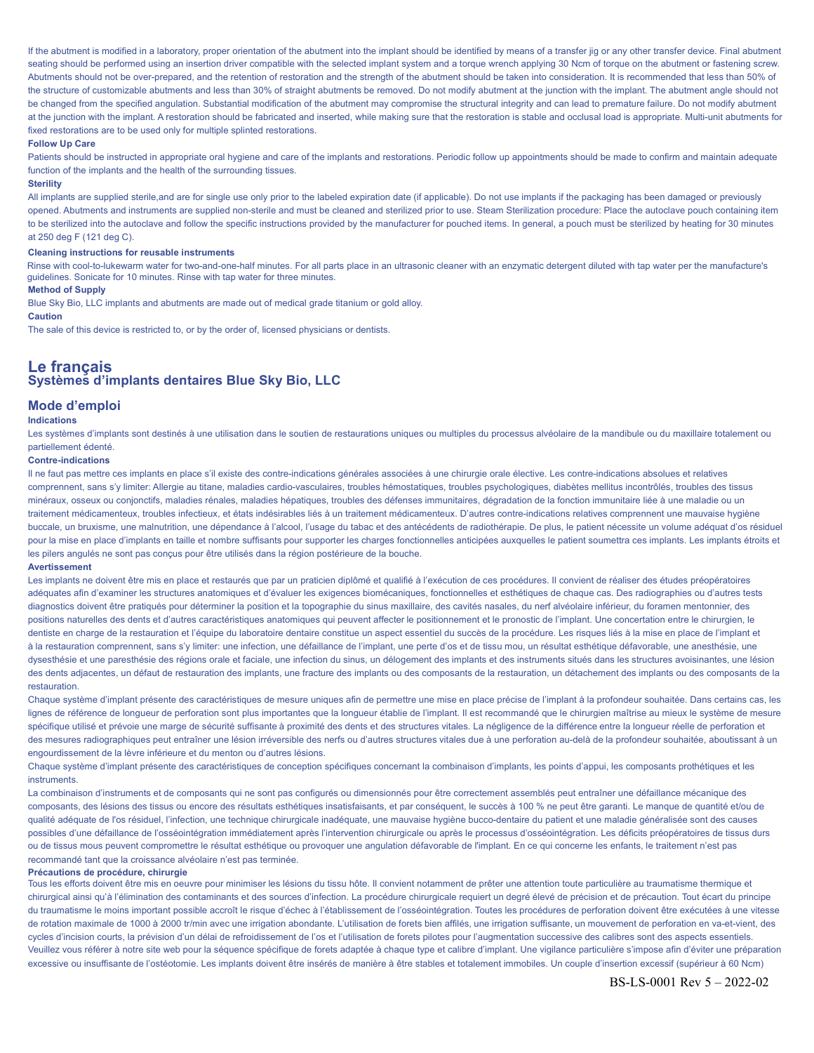If the abutment is modified in a laboratory, proper orientation of the abutment into the implant should be identified by means of a transfer iig or any other transfer device. Final abutment seating should be performed using an insertion driver compatible with the selected implant system and a torque wrench applying 30 Ncm of torque on the abutment or fastening screw. Abutments should not be over-prepared, and the retention of restoration and the strength of the abutment should be taken into consideration. It is recommended that less than 50% of the structure of customizable abutments and less than 30% of straight abutments be removed. Do not modify abutment at the junction with the implant. The abutment angle should not be changed from the specified angulation. Substantial modification of the abutment may compromise the structural integrity and can lead to premature failure. Do not modify abutment at the junction with the implant. A restoration should be fabricated and inserted, while making sure that the restoration is stable and occlusal load is appropriate. Multi-unit abutments for fixed restorations are to be used only for multiple splinted restorations.

#### **Follow Up Care**

Patients should be instructed in appropriate oral hygiene and care of the implants and restorations. Periodic follow up appointments should be made to confirm and maintain adequate function of the implants and the health of the surrounding tissues.

# **Sterility**

All implants are supplied sterile, and are for single use only prior to the labeled expiration date (if applicable). Do not use implants if the packaging has been damaged or previously opened. Abutments and instruments are supplied non-sterile and must be cleaned and sterilized prior to use. Steam Sterilization procedure: Place the autoclave pouch containing item to be sterilized into the autoclave and follow the specific instructions provided by the manufacturer for pouched items. In general, a pouch must be sterilized by heating for 30 minutes at 250 deg F (121 deg C).

#### **Cleaning instructions for reusable instruments**

Rinse with cool-to-lukewarm water for two-and-one-half minutes. For all parts place in an ultrasonic cleaner with an enzymatic detergent diluted with tap water per the manufacture's guidelines. Sonicate for 10 minutes. Rinse with tap water for three minutes.

# **Method of Supply**

Blue Sky Bio, LLC implants and abutments are made out of medical grade titanium or gold alloy.

# **Caution**

The sale of this device is restricted to, or by the order of, licensed physicians or dentists.

# **Le français Systèmes d'implants dentaires Blue Sky Bio, LLC**

# **Mode d'emploi**

#### **Indications**

Les systèmes d'implants sont destinés à une utilisation dans le soutien de restaurations uniques ou multiples du processus alvéolaire de la mandibule ou du maxillaire totalement ou partiellement édenté.

# **Contre-indications**

Il ne faut pas mettre ces implants en place s'il existe des contre-indications générales associées à une chirurgie orale élective. Les contre-indications absolues et relatives comprennent, sans s'y limiter: Allergie au titane, maladies cardio-vasculaires, troubles hémostatiques, troubles psychologiques, diabètes mellitus incontrôlés, troubles des tissus minéraux, osseux ou conjonctifs, maladies rénales, maladies hépatiques, troubles des défenses immunitaires, dégradation de la fonction immunitaire liée à une maladie ou un traitement médicamenteux, troubles infectieux, et états indésirables liés à un traitement médicamenteux. D'autres contre-indications relatives comprennent une mauvaise hygiène buccale, un bruxisme, une malnutrition, une dépendance à l'alcool, l'usage du tabac et des antécédents de radiothérapie. De plus, le patient nécessite un volume adéquat d'os résiduel pour la mise en place d'implants en taille et nombre suffisants pour supporter les charges fonctionnelles anticipées auxquelles le patient soumettra ces implants. Les implants étroits et les pilers angulés ne sont pas conçus pour être utilisés dans la région postérieure de la bouche.

#### **Avertissement**

Les implants ne doivent être mis en place et restaurés que par un praticien diplômé et qualifié à l'exécution de ces procédures. Il convient de réaliser des études préopératoires adéquates afin d'examiner les structures anatomiques et d'évaluer les exigences biomécaniques, fonctionnelles et esthétiques de chaque cas. Des radiographies ou d'autres tests diagnostics doivent être pratiqués pour déterminer la position et la topographie du sinus maxillaire, des cavités nasales, du nerf alvéolaire inférieur, du foramen mentonnier, des positions naturelles des dents et d'autres caractéristiques anatomiques qui peuvent affecter le positionnement et le pronostic de l'implant. Une concertation entre le chirurgien, le dentiste en charge de la restauration et l'équipe du laboratoire dentaire constitue un aspect essentiel du succès de la procédure. Les risques liés à la mise en place de l'implant et à la restauration comprennent, sans s'y limiter: une infection, une défaillance de l'implant, une perte d'os et de tissu mou, un résultat esthétique défavorable, une anesthésie, une dysesthésie et une paresthésie des régions orale et faciale, une infection du sinus, un délogement des implants et des instruments situés dans les structures avoisinantes, une lésion des dents adjacentes, un défaut de restauration des implants, une fracture des implants ou des composants de la restauration, un détachement des implants ou des composants de la restauration.

Chaque système d'implant présente des caractéristiques de mesure uniques afin de permettre une mise en place précise de l'implant à la profondeur souhaitée. Dans certains cas, les lignes de référence de longueur de perforation sont plus importantes que la longueur établie de l'implant. Il est recommandé que le chirurgien maîtrise au mieux le système de mesure spécifique utilisé et prévoie une marge de sécurité suffisante à proximité des dents et des structures vitales. La négligence de la différence entre la longueur réelle de perforation et des mesures radiographiques peut entraîner une lésion irréversible des nerfs ou d'autres structures vitales due à une perforation au-delà de la profondeur souhaitée, aboutissant à un engourdissement de la lèvre inférieure et du menton ou d'autres lésions.

Chaque système d'implant présente des caractéristiques de conception spécifiques concernant la combinaison d'implants, les points d'appui, les composants prothétiques et les **instruments** 

La combinaison d'instruments et de composants qui ne sont pas configurés ou dimensionnés pour être correctement assemblés peut entraîner une défaillance mécanique des composants, des lésions des tissus ou encore des résultats esthétiques insatisfaisants, et par conséquent, le succès à 100 % ne peut être garanti. Le manque de quantité et/ou de qualité adéquate de l'os résiduel, l'infection, une technique chirurgicale inadéquate, une mauvaise hygiène bucco-dentaire du patient et une maladie généralisée sont des causes possibles d'une défaillance de l'osséointégration immédiatement après l'intervention chirurgicale ou après le processus d'osséointégration. Les déficits préopératoires de tissus durs ou de tissus mous peuvent compromettre le résultat esthétique ou provoquer une angulation défavorable de l'implant. En ce qui concerne les enfants, le traitement n'est pas recommandé tant que la croissance alvéolaire n'est pas terminée.

#### **Précautions de procédure, chirurgie**

Tous les efforts doivent être mis en oeuvre pour minimiser les lésions du tissu hôte. Il convient notamment de prêter une attention toute particulière au traumatisme thermique et chirurgical ainsi qu'à l'élimination des contaminants et des sources d'infection. La procédure chirurgicale requiert un degré élevé de précision et de précaution. Tout écart du principe du traumatisme le moins important possible accroît le risque d'échec à l'établissement de l'osséointégration. Toutes les procédures de perforation doivent être exécutées à une vitesse de rotation maximale de 1000 à 2000 tr/min avec une irrigation abondante. L'utilisation de forets bien affilés, une irrigation suffisante, un mouvement de perforation en va-et-vient, des cycles d'incision courts, la prévision d'un délai de refroidissement de l'os et l'utilisation de forets pilotes pour l'augmentation successive des calibres sont des aspects essentiels. Veuillez vous référer à notre site web pour la séquence spécifique de forets adaptée à chaque type et calibre d'implant. Une vigilance particulière s'impose afin d'éviter une préparation excessive ou insuffisante de l'ostéotomie. Les implants doivent être insérés de manière à être stables et totalement immobiles. Un couple d'insertion excessif (supérieur à 60 Ncm)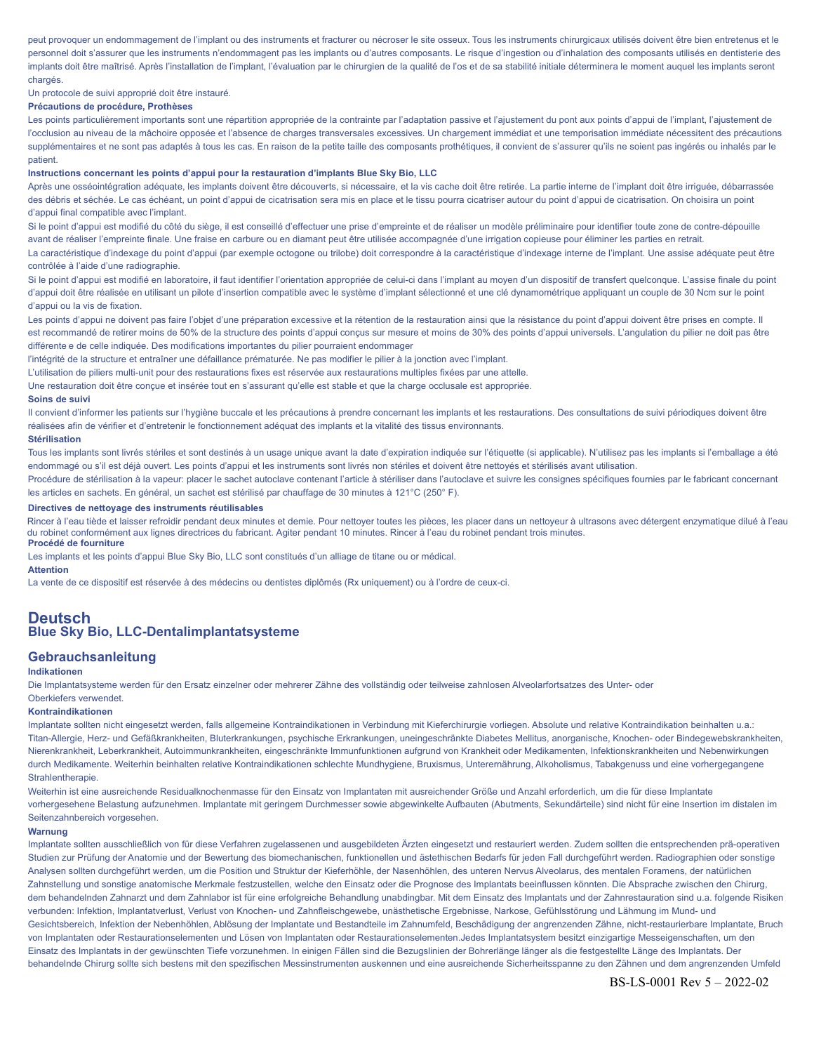peut provoquer un endommagement de l'implant ou des instruments et fracturer ou nécroser le site osseux. Tous les instruments chirurgicaux utilisés doivent être bien entretenus et le personnel doit s'assurer que les instruments n'endommagent pas les implants ou d'autres composants. Le risque d'ingestion ou d'inhalation des composants utilisés en dentisterie des implants doit être maîtrisé. Après l'installation de l'implant, l'évaluation par le chirurgien de la qualité de l'os et de sa stabilité initiale déterminera le moment auquel les implants seront chargés.

# Un protocole de suivi approprié doit être instauré.

# **Précautions de procédure, Prothèses**

Les points particulièrement importants sont une répartition appropriée de la contrainte par l'adaptation passive et l'ajustement du pont aux points d'appui de l'implant, l'ajustement de l'occlusion au niveau de la mâchoire opposée et l'absence de charges transversales excessives. Un chargement immédiat et une temporisation immédiate nécessitent des précautions supplémentaires et ne sont pas adaptés à tous les cas. En raison de la petite taille des composants prothétiques, il convient de s'assurer qu'ils ne soient pas ingérés ou inhalés par le patient.

# **Instructions concernant les points d'appui pour la restauration d'implants Blue Sky Bio, LLC**

Après une osséointégration adéquate, les implants doivent être découverts, si nécessaire, et la vis cache doit être retirée. La partie interne de l'implant doit être irriquée, débarrassée des débris et séchée. Le cas échéant, un point d'appui de cicatrisation sera mis en place et le tissu pourra cicatriser autour du point d'appui de cicatrisation. On choisira un point d'appui final compatible avec l'implant.

Si le point d'appui est modifié du côté du siège, il est conseillé d'effectuer une prise d'empreinte et de réaliser un modèle préliminaire pour identifier toute zone de contre-dépouille avant de réaliser l'empreinte finale. Une fraise en carbure ou en diamant peut être utilisée accompagnée d'une irrigation copieuse pour éliminer les parties en retrait.

La caractéristique d'indexage du point d'appui (par exemple octogone ou trilobe) doit correspondre à la caractéristique d'indexage interne de l'implant. Une assise adéquate peut être contrôlée à l'aide d'une radiographie.

Si le point d'appui est modifié en laboratoire, il faut identifier l'orientation appropriée de celui-ci dans l'implant au moyen d'un dispositif de transfert quelconque. L'assise finale du point d'appui doit être réalisée en utilisant un pilote d'insertion compatible avec le système d'implant sélectionné et une clé dynamométrique appliquant un couple de 30 Ncm sur le point d'appui ou la vis de fixation.

Les points d'appui ne doivent pas faire l'objet d'une préparation excessive et la rétention de la restauration ainsi que la résistance du point d'appui doivent être prises en compte. Il est recommandé de retirer moins de 50% de la structure des points d'appui conçus sur mesure et moins de 30% des points d'appui universels. L'angulation du pilier ne doit pas être différente e de celle indiquée. Des modifications importantes du pilier pourraient endommager

l'intégrité de la structure et entraîner une défaillance prématurée. Ne pas modifier le pilier à la jonction avec l'implant.

L'utilisation de piliers multi-unit pour des restaurations fixes est réservée aux restaurations multiples fixées par une attelle.

Une restauration doit être conçue et insérée tout en s'assurant qu'elle est stable et que la charge occlusale est appropriée.

# **Soins de suivi**

Il convient d'informer les patients sur l'hygiène buccale et les précautions à prendre concernant les implants et les restaurations. Des consultations de suivi périodiques doivent être réalisées afin de vérifier et d'entretenir le fonctionnement adéquat des implants et la vitalité des tissus environnants.

#### **Stérilisation**

Tous les implants sont livrés stériles et sont destinés à un usage unique avant la date d'expiration indiquée sur l'étiquette (si applicable). N'utilisez pas les implants si l'emballage a été endommagé ou s'il est déjà ouvert. Les points d'appui et les instruments sont livrés non stériles et doivent être nettoyés et stérilisés avant utilisation.

Procédure de stérilisation à la vapeur: placer le sachet autoclave contenant l'article à stériliser dans l'autoclave et suivre les consignes spécifiques fournies par le fabricant concernant les articles en sachets. En général, un sachet est stérilisé par chauffage de 30 minutes à 121°C (250° F).

#### **Directives de nettoyage des instruments réutilisables**

Rincer à l'eau tiède et laisser refroidir pendant deux minutes et demie. Pour nettoyer toutes les pièces, les placer dans un nettoyeur à ultrasons avec détergent enzymatique dilué à l'eau du robinet conformément aux lignes directrices du fabricant. Agiter pendant 10 minutes. Rincer à l'eau du robinet pendant trois minutes. **Procédé de fourniture**

Les implants et les points d'appui Blue Sky Bio, LLC sont constitués d'un alliage de titane ou or médical.

#### **Attention**

La vente de ce dispositif est réservée à des médecins ou dentistes diplômés (Rx uniquement) ou à l'ordre de ceux-ci.

# **Deutsch Blue Sky Bio, LLC-Dentalimplantatsysteme**

# **Gebrauchsanleitung**

# **Indikationen**

Die Implantatsysteme werden für den Ersatz einzelner oder mehrerer Zähne des vollständig oder teilweise zahnlosen Alveolarfortsatzes des Unter- oder

# Oberkiefers verwendet.

#### **Kontraindikationen**

Implantate sollten nicht eingesetzt werden, falls allgemeine Kontraindikationen in Verbindung mit Kieferchirurgie vorliegen. Absolute und relative Kontraindikation beinhalten u.a.: Titan-Allergie, Herz- und Gefäßkrankheiten, Bluterkrankungen, psychische Erkrankungen, uneingeschränkte Diabetes Mellitus, anorganische, Knochen- oder Bindegewebskrankheiten, Nierenkrankheit, Leberkrankheit, Autoimmunkrankheiten, eingeschränkte Immunfunktionen aufgrund von Krankheit oder Medikamenten, Infektionskrankheiten und Nebenwirkungen durch Medikamente. Weiterhin beinhalten relative Kontraindikationen schlechte Mundhygiene, Bruxismus, Unterernährung, Alkoholismus, Tabakgenuss und eine vorhergegangene **Strahlentherapie.** 

Weiterhin ist eine ausreichende Residualknochenmasse für den Einsatz von Implantaten mit ausreichender Größe und Anzahl erforderlich, um die für diese Implantate vorhergesehene Belastung aufzunehmen. Implantate mit geringem Durchmesser sowie abgewinkelte Aufbauten (Abutments, Sekundärteile) sind nicht für eine Insertion im distalen im Seitenzahnbereich vorgesehen.

#### **Warnung**

Implantate sollten ausschließlich von für diese Verfahren zugelassenen und ausgebildeten Ärzten eingesetzt und restauriert werden. Zudem sollten die entsprechenden prä-operativen Studien zur Prüfung der Anatomie und der Bewertung des biomechanischen, funktionellen und ästethischen Bedarfs für jeden Fall durchgeführt werden. Radiographien oder sonstige Analysen sollten durchgeführt werden, um die Position und Struktur der Kieferhöhle, der Nasenhöhlen, des unteren Nervus Alveolarus, des mentalen Foramens, der natürlichen Zahnstellung und sonstige anatomische Merkmale festzustellen, welche den Einsatz oder die Prognose des Implantats beeinflussen könnten. Die Absprache zwischen den Chirurg, dem behandelnden Zahnarzt und dem Zahnlabor ist für eine erfolgreiche Behandlung unabdingbar. Mit dem Einsatz des Implantats und der Zahnrestauration sind u.a. folgende Risiken verbunden: Infektion, Implantatverlust, Verlust von Knochen- und Zahnfleischgewebe, unästhetische Ergebnisse, Narkose, Gefühlsstörung und Lähmung im Mund- und Gesichtsbereich, Infektion der Nebenhöhlen, Ablösung der Implantate und Bestandteile im Zahnumfeld. Beschädigung der angrenzenden Zähne, nicht-restaurierbare Implantate, Bruch von Implantaten oder Restaurationselementen und Lösen von Implantaten oder Restaurationselementen.Jedes Implantatsystem besitzt einzigartige Messeigenschaften, um den Einsatz des Implantats in der gewünschten Tiefe vorzunehmen. In einigen Fällen sind die Bezugslinien der Bohrerlänge länger als die festgestellte Länge des Implantats. Der behandelnde Chirurg sollte sich bestens mit den spezifischen Messinstrumenten auskennen und eine ausreichende Sicherheitsspanne zu den Zähnen und dem angrenzenden Umfeld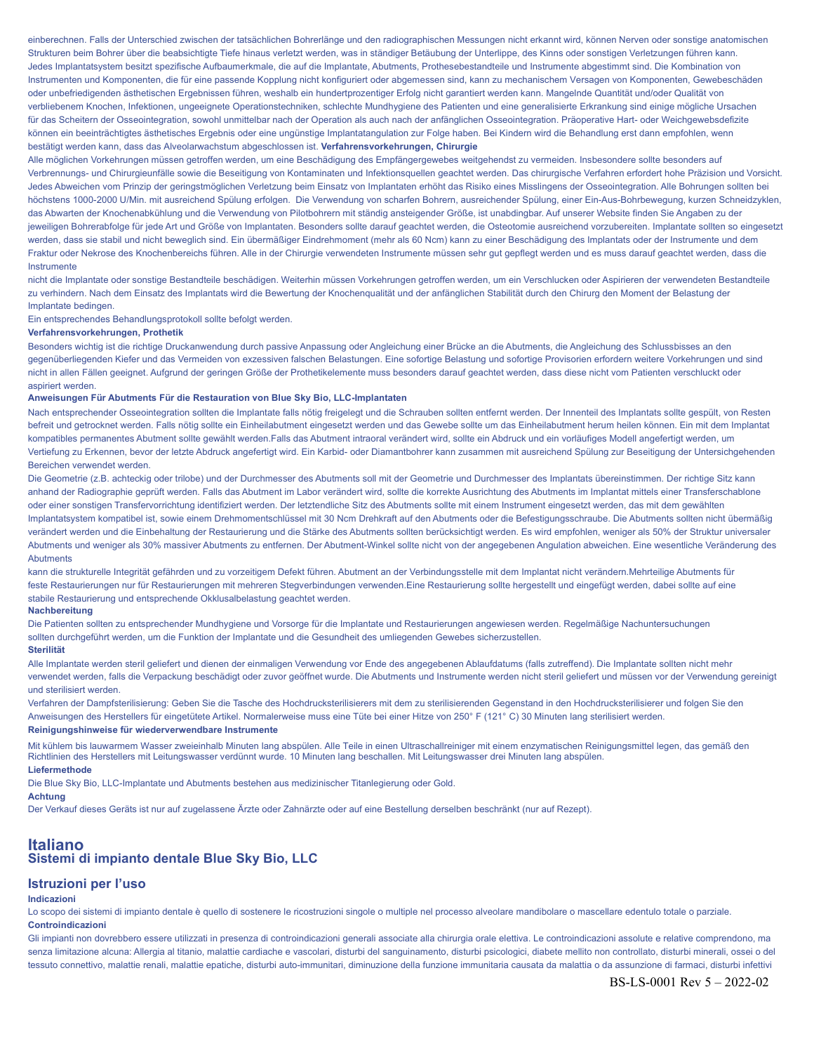einberechnen. Falls der Unterschied zwischen der tatsächlichen Bohrerlänge und den radiographischen Messungen nicht erkannt wird, können Nerven oder sonstige anatomischen Strukturen beim Bohrer über die beabsichtigte Tiefe hinaus verletzt werden, was in ständiger Betäubung der Unterlippe, des Kinns oder sonstigen Verletzungen führen kann. Jedes Implantatsystem besitzt spezifische Aufbaumerkmale, die auf die Implantate, Abutments, Prothesebestandteile und Instrumente abgestimmt sind. Die Kombination von Instrumenten und Komponenten, die für eine passende Kopplung nicht konfiguriert oder abgemessen sind, kann zu mechanischem Versagen von Komponenten, Gewebeschäden oder unbefriedigenden ästhetischen Ergebnissen führen, weshalb ein hundertprozentiger Erfolg nicht garantiert werden kann. Mangelnde Quantität und/oder Qualität von verbliebenem Knochen, Infektionen, ungeeignete Operationstechniken, schlechte Mundhygiene des Patienten und eine generalisierte Erkrankung sind einige mögliche Ursachen für das Scheitern der Osseointegration, sowohl unmittelbar nach der Operation als auch nach der anfänglichen Osseointegration. Präoperative Hart- oder Weichgewebsdefizite können ein beeinträchtigtes ästhetisches Ergebnis oder eine ungünstige Implantatangulation zur Folge haben. Bei Kindern wird die Behandlung erst dann empfohlen, wenn bestätigt werden kann, dass das Alveolarwachstum abgeschlossen ist. **Verfahrensvorkehrungen, Chirurgie**

Alle möglichen Vorkehrungen müssen getroffen werden, um eine Beschädigung des Empfängergewebes weitgehendst zu vermeiden. Insbesondere sollte besonders auf Verbrennungs- und Chirurgieunfälle sowie die Beseitigung von Kontaminaten und Infektionsquellen geachtet werden. Das chirurgische Verfahren erfordert hohe Präzision und Vorsicht. Jedes Abweichen vom Prinzip der geringstmöglichen Verletzung beim Einsatz von Implantaten erhöht das Risiko eines Misslingens der Osseointegration. Alle Bohrungen sollten bei höchstens 1000-2000 U/Min. mit ausreichend Spülung erfolgen. Die Verwendung von scharfen Bohrern, ausreichender Spülung, einer Ein-Aus-Bohrbewegung, kurzen Schneidzyklen, das Abwarten der Knochenabkühlung und die Verwendung von Pilotbohrern mit ständig ansteigender Größe, ist unabdingbar. Auf unserer Website finden Sie Angaben zu der jeweiligen Bohrerabfolge für jede Art und Größe von Implantaten. Besonders sollte darauf geachtet werden, die Osteotomie ausreichend vorzubereiten. Implantate sollten so eingesetzt werden, dass sie stabil und nicht beweglich sind. Ein übermäßiger Eindrehmoment (mehr als 60 Ncm) kann zu einer Beschädigung des Implantats oder der Instrumente und dem Fraktur oder Nekrose des Knochenbereichs führen. Alle in der Chirurgie verwendeten Instrumente müssen sehr gut gepflegt werden und es muss darauf geachtet werden, dass die Instrumente

nicht die Implantate oder sonstige Bestandteile beschädigen. Weiterhin müssen Vorkehrungen getroffen werden, um ein Verschlucken oder Aspirieren der verwendeten Bestandteile zu verhindern. Nach dem Einsatz des Implantats wird die Bewertung der Knochenqualität und der anfänglichen Stabilität durch den Chirurg den Moment der Belastung der Implantate bedingen.

Ein entsprechendes Behandlungsprotokoll sollte befolgt werden.

# **Verfahrensvorkehrungen, Prothetik**

Besonders wichtig ist die richtige Druckanwendung durch passive Anpassung oder Angleichung einer Brücke an die Abutments, die Angleichung des Schlussbisses an den gegenüberliegenden Kiefer und das Vermeiden von exzessiven falschen Belastungen. Eine sofortige Belastung und sofortige Provisorien erfordern weitere Vorkehrungen und sind nicht in allen Fällen geeignet. Aufgrund der geringen Größe der Prothetikelemente muss besonders darauf geachtet werden, dass diese nicht vom Patienten verschluckt oder aspiriert werden.

## **Anweisungen Für Abutments Für die Restauration von Blue Sky Bio, LLC-Implantaten**

Nach entsprechender Osseointegration sollten die Implantate falls nötig freigelegt und die Schrauben sollten entfernt werden. Der Innenteil des Implantats sollte gespült, von Resten befreit und getrocknet werden. Falls nötig sollte ein Einheilabutment eingesetzt werden und das Gewebe sollte um das Einheilabutment herum heilen können. Ein mit dem Implantat kompatibles permanentes Abutment sollte gewählt werden.Falls das Abutment intraoral verändert wird, sollte ein Abdruck und ein vorläufiges Modell angefertigt werden, um Vertiefung zu Erkennen, bevor der letzte Abdruck angefertigt wird. Ein Karbid- oder Diamantbohrer kann zusammen mit ausreichend Spülung zur Beseitigung der Untersichgehenden Bereichen verwendet werden.

Die Geometrie (z.B. achteckig oder trilobe) und der Durchmesser des Abutments soll mit der Geometrie und Durchmesser des Implantats übereinstimmen. Der richtige Sitz kann anhand der Radiographie geprüft werden. Falls das Abutment im Labor verändert wird, sollte die korrekte Ausrichtung des Abutments im Implantat mittels einer Transferschablone oder einer sonstigen Transfervorrichtung identifiziert werden. Der letztendliche Sitz des Abutments sollte mit einem Instrument eingesetzt werden, das mit dem gewählten Implantatsystem kompatibel ist, sowie einem Drehmomentschlüssel mit 30 Ncm Drehkraft auf den Abutments oder die Befestigungsschraube. Die Abutments sollten nicht übermäßig verändert werden und die Einbehaltung der Restaurierung und die Stärke des Abutments sollten berücksichtigt werden. Es wird empfohlen, weniger als 50% der Struktur universaler Abutments und weniger als 30% massiver Abutments zu entfernen. Der Abutment-Winkel sollte nicht von der angegebenen Angulation abweichen. Eine wesentliche Veränderung des Abutments

kann die strukturelle Integrität gefährden und zu vorzeitigem Defekt führen. Abutment an der Verbindungsstelle mit dem Implantat nicht verändern.Mehrteilige Abutments für feste Restaurierungen nur für Restaurierungen mit mehreren Stegverbindungen verwenden.Eine Restaurierung sollte hergestellt und eingefügt werden, dabei sollte auf eine stabile Restaurierung und entsprechende Okklusalbelastung geachtet werden.

#### **Nachbereitung**

Die Patienten sollten zu entsprechender Mundhygiene und Vorsorge für die Implantate und Restaurierungen angewiesen werden. Regelmäßige Nachuntersuchungen sollten durchgeführt werden, um die Funktion der Implantate und die Gesundheit des umliegenden Gewebes sicherzustellen.

# **Sterilität**

Alle Implantate werden steril geliefert und dienen der einmaligen Verwendung vor Ende des angegebenen Ablaufdatums (falls zutreffend). Die Implantate sollten nicht mehr verwendet werden, falls die Verpackung beschädigt oder zuvor geöffnet wurde. Die Abutments und Instrumente werden nicht steril geliefert und müssen vor der Verwendung gereinigt und sterilisiert werden.

Verfahren der Dampfsterilisierung: Geben Sie die Tasche des Hochdrucksterilisierers mit dem zu sterilisierenden Gegenstand in den Hochdrucksterilisierer und folgen Sie den Anweisungen des Herstellers für eingetütete Artikel. Normalerweise muss eine Tüte bei einer Hitze von 250° F (121° C) 30 Minuten lang sterilisiert werden.

# **Reinigungshinweise für wiederverwendbare Instrumente**

Mit kühlem bis lauwarmem Wasser zweieinhalb Minuten lang abspülen. Alle Teile in einen Ultraschallreiniger mit einem enzymatischen Reinigungsmittel legen, das gemäß den Richtlinien des Herstellers mit Leitungswasser verdünnt wurde. 10 Minuten lang beschallen. Mit Leitungswasser drei Minuten lang abspülen. **Liefermethode**

Die Blue Sky Bio, LLC-Implantate und Abutments bestehen aus medizinischer Titanlegierung oder Gold.

#### **Achtung**

Der Verkauf dieses Geräts ist nur auf zugelassene Ärzte oder Zahnärzte oder auf eine Bestellung derselben beschränkt (nur auf Rezept).

# **Italiano Sistemi di impianto dentale Blue Sky Bio, LLC**

# **Istruzioni per l'uso**

# **Indicazioni**

Lo scopo dei sistemi di impianto dentale è quello di sostenere le ricostruzioni singole o multiple nel processo alveolare mandibolare o mascellare edentulo totale o parziale. **Controindicazioni**

Gli impianti non dovrebbero essere utilizzati in presenza di controindicazioni generali associate alla chirurgia orale elettiva. Le controindicazioni assolute e relative comprendono, ma senza limitazione alcuna: Allergia al titanio, malattie cardiache e vascolari, disturbi del sanguinamento, disturbi psicologici, diabete mellito non controllato, disturbi minerali, ossei o del tessuto connettivo, malattie renali, malattie epatiche, disturbi auto-immunitari, diminuzione della funzione immunitaria causata da malattia o da assunzione di farmaci, disturbi infettivi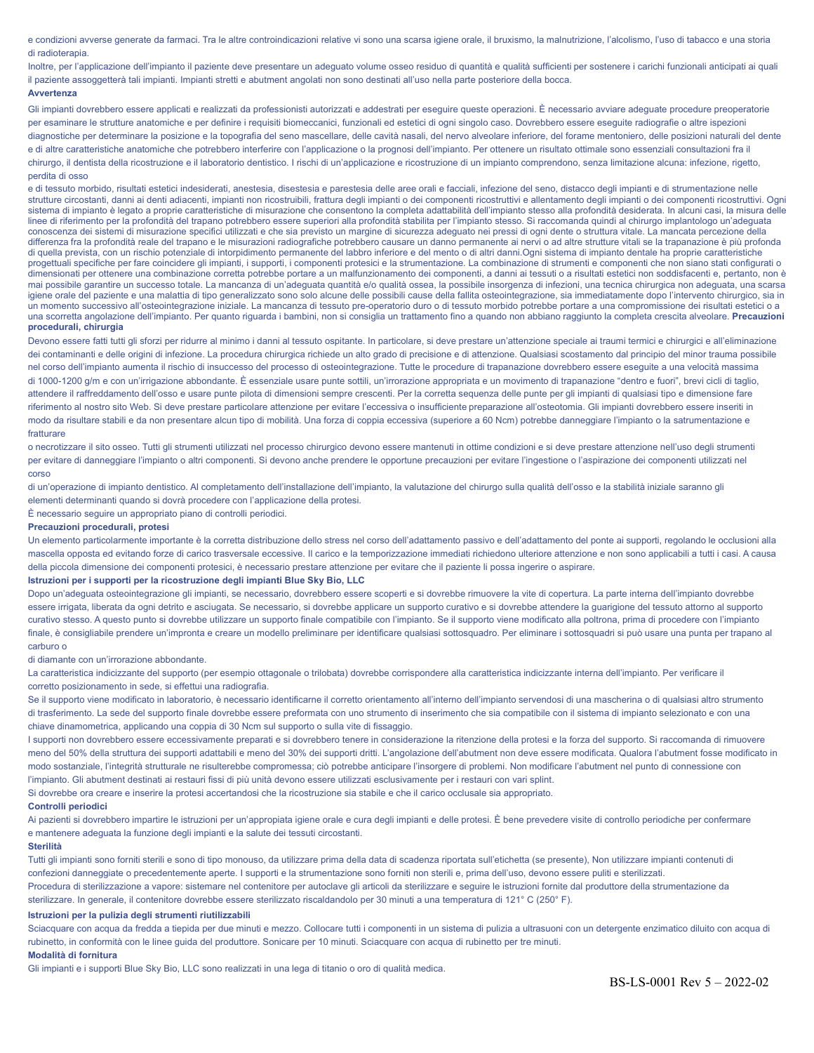e condizioni avverse generate da farmaci. Tra le altre controindicazioni relative vi sono una scarsa igiene orale, il bruxismo, la malnutrizione, l'alcolismo, l'uso di tabacco e una storia di radioterapia.

Inoltre, per l'applicazione dell'impianto il paziente deve presentare un adeguato volume osseo residuo di quantità e qualità sufficienti per sostenere i carichi funzionali anticipati ai quali il paziente assoggetterà tali impianti. Impianti stretti e abutment angolati non sono destinati all'uso nella parte posteriore della bocca.

#### **Avvertenza**

Gli impianti dovrebbero essere applicati e realizzati da professionisti autorizzati e addestrati per eseguire queste operazioni. È necessario avviare adeguate procedure preoperatorie per esaminare le strutture anatomiche e per definire i requisiti biomeccanici, funzionali ed estetici di ogni singolo caso. Dovrebbero essere eseguite radiografie o altre ispezioni diagnostiche per determinare la posizione e la topografia del seno mascellare, delle cavità nasali, del nervo alveolare inferiore, del forame mentoniero, delle posizioni naturali del dente e di altre caratteristiche anatomiche che potrebbero interferire con l'applicazione o la prognosi dell'impianto. Per ottenere un risultato ottimale sono essenziali consultazioni fra il chirurgo, il dentista della ricostruzione e il laboratorio dentistico. I rischi di un'applicazione e ricostruzione di un impianto comprendono, senza limitazione alcuna: infezione, rigetto, perdita di osso

e di tessuto morbido, risultati estetici indesiderati, anestesia, disestesia e parestesia delle aree orali e facciali, infezione del seno, distacco degli impianti e di strumentazione nelle strutture circostanti, danni ai denti adiacenti, impianti non ricostruibili, frattura degli impianti o dei componenti ricostruttivi e allentamento degli impianti o dei componenti ricostruttivi. Ogni sistema di impianto è legato a proprie caratteristiche di misurazione che consentono la completa adattabilità dell'impianto stesso alla profondità desiderata. In alcuni casi, la misura delle linee di riferimento per la profondità del trapano potrebbero essere superiori alla profondità stabilita per l'impianto stesso. Si raccomanda quindi al chirurgo implantologo un'adeguata conoscenza dei sistemi di misurazione specifici utilizzati e che sia previsto un margine di sicurezza adeguato nei pressi di ogni dente o struttura vitale. La mancata percezione della differenza fra la profondità reale del trapano e le misurazioni radiografiche potrebbero causare un danno permanente ai nervi o ad altre strutture vitali se la trapanazione è più profonda di quella prevista, con un rischio potenziale di intorpidimento permanente del labbro inferiore e del mento o di altri danni.Ogni sistema di impianto dentale ha proprie caratteristiche progettuali specifiche per fare coincidere gli impianti, i supporti, i componenti protesici e la strumentazione. La combinazione di strumenti e componenti che non siano stati configurati o dimensionati per ottenere una combinazione corretta potrebbe portare a un malfunzionamento dei componenti, a danni ai tessuti o a risultati estetici non soddisfacenti e, pertanto, non è mai possibile garantire un successo totale. La mancanza di un'adeguata quantità e/o qualità ossea, la possibile insorgenza di infezioni, una tecnica chirurgica non adeguata, una scarsa igiene orale del paziente e una malattia di tipo generalizzato sono solo alcune delle possibili cause della fallita osteointegrazione, sia immediatamente dopo l'intervento chirurgico, sia in un momento successivo all'osteointegrazione iniziale. La mancanza di tessuto pre-operatorio duro o di tessuto morbido potrebbe portare a una compromissione dei risultati estetici o a una scorretta angolazione dell'impianto. Per quanto riguarda i bambini, non si consiglia un trattamento fino a quando non abbiano raggiunto la completa crescita alveolare. **Precauzioni procedurali, chirurgia**

Devono essere fatti tutti gli sforzi per ridurre al minimo i danni al tessuto ospitante. In particolare, si deve prestare un'attenzione speciale ai traumi termici e chirurgici e all'eliminazione dei contaminanti e delle origini di infezione. La procedura chirurgica richiede un alto grado di precisione e di attenzione. Qualsiasi scostamento dal principio del minor trauma possibile nel corso dell'impianto aumenta il rischio di insuccesso del processo di osteointegrazione. Tutte le procedure di trapanazione dovrebbero essere eseguite a una velocità massima di 1000-1200 g/m e con un'irrigazione abbondante. È essenziale usare punte sottili, un'irrorazione appropriata e un movimento di trapanazione "dentro e fuori", brevi cicli di taglio, attendere il raffreddamento dell'osso e usare punte pilota di dimensioni sempre crescenti. Per la corretta sequenza delle punte per gli impianti di qualsiasi tipo e dimensione fare riferimento al nostro sito Web. Si deve prestare particolare attenzione per evitare l'eccessiva o insufficiente preparazione all'osteotomia. Gli impianti dovrebbero essere inseriti in modo da risultare stabili e da non presentare alcun tipo di mobilità. Una forza di coppia eccessiva (superiore a 60 Ncm) potrebbe danneggiare l'impianto o la satrumentazione e fratturare

o necrotizzare il sito osseo. Tutti gli strumenti utilizzati nel processo chirurgico devono essere mantenuti in ottime condizioni e si deve prestare attenzione nell'uso degli strumenti per evitare di danneggiare l'impianto o altri componenti. Si devono anche prendere le opportune precauzioni per evitare l'ingestione o l'aspirazione dei componenti utilizzati nel corso

di un'operazione di impianto dentistico. Al completamento dell'installazione dell'impianto, la valutazione del chirurgo sulla qualità dell'osso e la stabilità iniziale saranno gli elementi determinanti quando si dovrà procedere con l'applicazione della protesi.

È necessario seguire un appropriato piano di controlli periodici.

# **Precauzioni procedurali, protesi**

Un elemento particolarmente importante è la corretta distribuzione dello stress nel corso dell'adattamento passivo e dell'adattamento del ponte ai supporti, regolando le occlusioni alla mascella opposta ed evitando forze di carico trasversale eccessive. Il carico e la temporizzazione immediati richiedono ulteriore attenzione e non sono applicabili a tutti i casi. A causa della piccola dimensione dei componenti protesici, è necessario prestare attenzione per evitare che il paziente li possa ingerire o aspirare.

# **Istruzioni per i supporti per la ricostruzione degli impianti Blue Sky Bio, LLC**

Dopo un'adeguata osteointegrazione gli impianti, se necessario, dovrebbero essere scoperti e si dovrebbe rimuovere la vite di copertura. La parte interna dell'impianto dovrebbe essere irrigata, liberata da ogni detrito e asciugata. Se necessario, si dovrebbe applicare un supporto curativo e si dovrebbe attendere la guarigione del tessuto attorno al supporto curativo stesso. A questo punto si dovrebbe utilizzare un supporto finale compatibile con l'impianto. Se il supporto viene modificato alla poltrona, prima di procedere con l'impianto finale, è consigliabile prendere un'impronta e creare un modello preliminare per identificare qualsiasi sottosquadro. Per eliminare i sottosquadri si può usare una punta per trapano al carburo o

di diamante con un'irrorazione abbondante.

La caratteristica indicizzante del supporto (per esempio ottagonale o trilobata) dovrebbe corrispondere alla caratteristica indicizzante interna dell'impianto. Per verificare il corretto posizionamento in sede, si effettui una radiografia.

Se il supporto viene modificato in laboratorio, è necessario identificarne il corretto orientamento all'interno dell'impianto servendosi di una mascherina o di qualsiasi altro strumento di trasferimento. La sede del supporto finale dovrebbe essere preformata con uno strumento di inserimento che sia compatibile con il sistema di impianto selezionato e con una chiave dinamometrica, applicando una coppia di 30 Ncm sul supporto o sulla vite di fissaggio.

I supporti non dovrebbero essere eccessivamente preparati e si dovrebbero tenere in considerazione la ritenzione della protesi e la forza del supporto. Si raccomanda di rimuovere meno del 50% della struttura dei supporti adattabili e meno del 30% dei supporti dritti. L'angolazione dell'abutment non deve essere modificata. Qualora l'abutment fosse modificato in modo sostanziale, l'integrità strutturale ne risulterebbe compromessa; ciò potrebbe anticipare l'insorgere di problemi. Non modificare l'abutment nel punto di connessione con l'impianto. Gli abutment destinati ai restauri fissi di più unità devono essere utilizzati esclusivamente per i restauri con vari splint.

Si dovrebbe ora creare e inserire la protesi accertandosi che la ricostruzione sia stabile e che il carico occlusale sia appropriato.

#### **Controlli periodici**

Ai pazienti si dovrebbero impartire le istruzioni per un'appropiata igiene orale e cura degli impianti e delle protesi. È bene prevedere visite di controllo periodiche per confermare e mantenere adeguata la funzione degli impianti e la salute dei tessuti circostanti.

# **Sterilità**

Tutti gli impianti sono forniti sterili e sono di tipo monouso, da utilizzare prima della data di scadenza riportata sull'etichetta (se presente), Non utilizzare impianti contenuti di confezioni danneggiate o precedentemente aperte. I supporti e la strumentazione sono forniti non sterili e, prima dell'uso, devono essere puliti e sterilizzati. Procedura di sterilizzazione a vapore: sistemare nel contenitore per autoclave gli articoli da sterilizzare e seguire le istruzioni fornite dal produttore della strumentazione da

sterilizzare. In generale, il contenitore dovrebbe essere sterilizzato riscaldandolo per 30 minuti a una temperatura di 121° C (250° F).

#### **Istruzioni per la pulizia degli strumenti riutilizzabili**

Sciacquare con acqua da fredda a tiepida per due minuti e mezzo. Collocare tutti i componenti in un sistema di pulizia a ultrasuoni con un detergente enzimatico diluito con acqua di rubinetto, in conformità con le linee guida del produttore. Sonicare per 10 minuti. Sciacquare con acqua di rubinetto per tre minuti.

# **Modalità di fornitura**

Gli impianti e i supporti Blue Sky Bio, LLC sono realizzati in una lega di titanio o oro di qualità medica.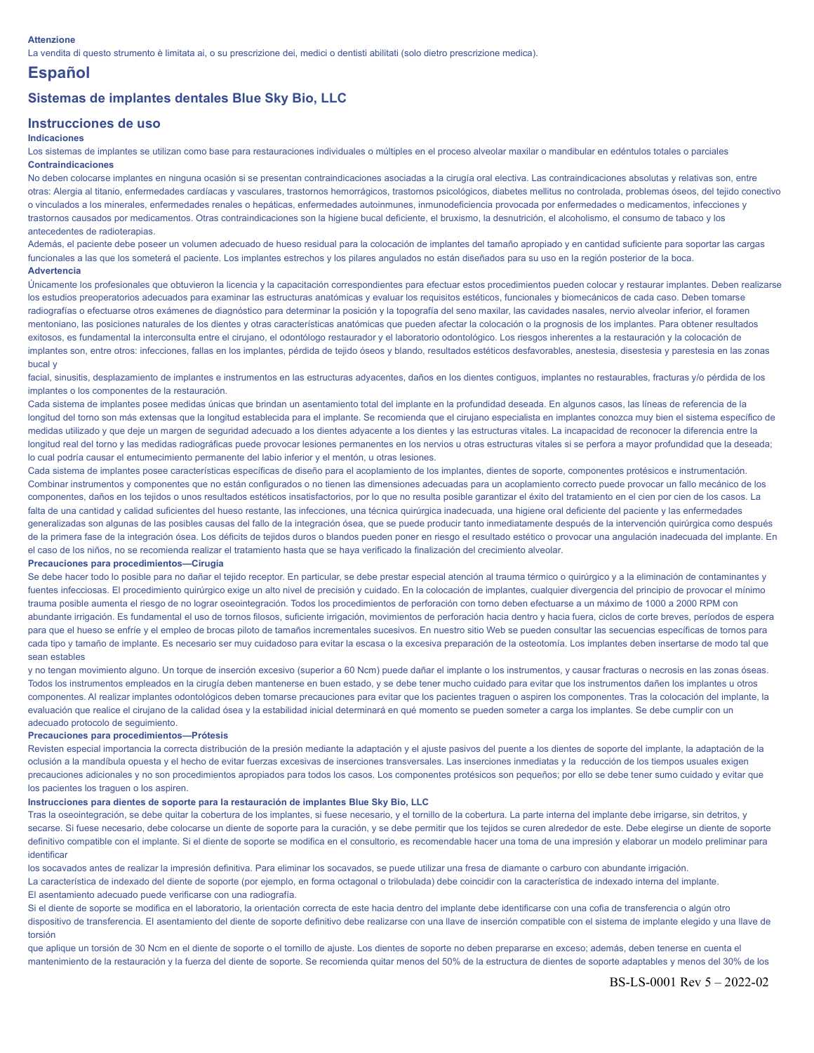#### **Attenzione**

La vendita di questo strumento è limitata ai, o su prescrizione dei, medici o dentisti abilitati (solo dietro prescrizione medica).

# **Español**

# **Sistemas de implantes dentales Blue Sky Bio, LLC**

# **Instrucciones de uso**

# **Indicaciones**

Los sistemas de implantes se utilizan como base para restauraciones individuales o múltiples en el proceso alveolar maxilar o mandibular en edéntulos totales o parciales **Contraindicaciones**

No deben colocarse implantes en ninguna ocasión si se presentan contraindicaciones asociadas a la cirugía oral electiva. Las contraindicaciones absolutas y relativas son, entre otras: Alergia al titanio, enfermedades cardíacas y vasculares, trastornos hemorrágicos, trastornos psicológicos, diabetes mellitus no controlada, problemas óseos, del tejido conectivo o vinculados a los minerales, enfermedades renales o hepáticas, enfermedades autoinmunes, inmunodeficiencia provocada por enfermedades o medicamentos, infecciones y trastornos causados por medicamentos. Otras contraindicaciones son la higiene bucal deficiente, el bruxismo, la desnutrición, el alcoholismo, el consumo de tabaco y los antecedentes de radioterapias.

Además, el paciente debe poseer un volumen adecuado de hueso residual para la colocación de implantes del tamaño apropiado y en cantidad suficiente para soportar las cargas funcionales a las que los someterá el paciente. Los implantes estrechos y los pilares angulados no están diseñados para su uso en la región posterior de la boca. **Advertencia**

Únicamente los profesionales que obtuvieron la licencia y la capacitación correspondientes para efectuar estos procedimientos pueden colocar y restaurar implantes. Deben realizarse los estudios preoperatorios adecuados para examinar las estructuras anatómicas y evaluar los requisitos estéticos, funcionales y biomecánicos de cada caso. Deben tomarse radiografías o efectuarse otros exámenes de diagnóstico para determinar la posición y la topografía del seno maxilar, las cavidades nasales, nervio alveolar inferior, el foramen mentoniano, las posiciones naturales de los dientes y otras características anatómicas que pueden afectar la colocación o la prognosis de los implantes. Para obtener resultados exitosos, es fundamental la interconsulta entre el cirujano, el odontólogo restaurador y el laboratorio odontológico. Los riesgos inherentes a la restauración y la colocación de implantes son, entre otros: infecciones, fallas en los implantes, pérdida de tejido óseos y blando, resultados estéticos desfavorables, anestesia, disestesia y parestesia en las zonas bucal y

facial, sinusitis, desplazamiento de implantes e instrumentos en las estructuras adyacentes, daños en los dientes contiguos, implantes no restaurables, fracturas y/o pérdida de los implantes o los componentes de la restauración.

Cada sistema de implantes posee medidas únicas que brindan un asentamiento total del implante en la profundidad deseada. En algunos casos, las líneas de referencia de la longitud del torno son más extensas que la longitud establecida para el implante. Se recomienda que el cirujano especialista en implantes conozca muy bien el sistema específico de medidas utilizado y que deje un margen de seguridad adecuado a los dientes adyacente a los dientes y las estructuras vitales. La incapacidad de reconocer la diferencia entre la longitud real del torno y las medidas radiográficas puede provocar lesiones permanentes en los nervios u otras estructuras vitales si se perfora a mayor profundidad que la deseada; lo cual podría causar el entumecimiento permanente del labio inferior y el mentón, u otras lesiones.

Cada sistema de implantes posee características específicas de diseño para el acoplamiento de los implantes, dientes de soporte, componentes protésicos e instrumentación. Combinar instrumentos y componentes que no están configurados o no tienen las dimensiones adecuadas para un acoplamiento correcto puede provocar un fallo mecánico de los componentes, daños en los tejidos o unos resultados estéticos insatisfactorios, por lo que no resulta posible garantizar el éxito del tratamiento en el cien por cien de los casos. La falta de una cantidad y calidad suficientes del hueso restante, las infecciones, una técnica quirúrgica inadecuada, una higiene oral deficiente del paciente y las enfermedades generalizadas son algunas de las posibles causas del fallo de la integración ósea, que se puede producir tanto inmediatamente después de la intervención quirúrgica como después de la primera fase de la integración ósea. Los déficits de tejidos duros o blandos pueden poner en riesgo el resultado estético o provocar una angulación inadecuada del implante. En el caso de los niños, no se recomienda realizar el tratamiento hasta que se haya verificado la finalización del crecimiento alveolar.

#### **Precauciones para procedimientos—Cirugía**

Se debe hacer todo lo posible para no dañar el tejido receptor. En particular, se debe prestar especial atención al trauma térmico o quirúrgico y a la eliminación de contaminantes y fuentes infecciosas. El procedimiento quirúrgico exige un alto nivel de precisión y cuidado. En la colocación de implantes, cualquier divergencia del principio de provocar el mínimo trauma posible aumenta el riesgo de no lograr oseointegración. Todos los procedimientos de perforación con torno deben efectuarse a un máximo de 1000 a 2000 RPM con abundante irrigación. Es fundamental el uso de tornos filosos, suficiente irrigación, movimientos de perforación hacia dentro y hacia fuera, ciclos de corte breves, períodos de espera para que el hueso se enfríe y el empleo de brocas piloto de tamaños incrementales sucesivos. En nuestro sitio Web se pueden consultar las secuencias específicas de tornos para cada tipo y tamaño de implante. Es necesario ser muy cuidadoso para evitar la escasa o la excesiva preparación de la osteotomía. Los implantes deben insertarse de modo tal que sean estables

y no tengan movimiento alguno. Un torque de inserción excesivo (superior a 60 Ncm) puede dañar el implante o los instrumentos, y causar fracturas o necrosis en las zonas óseas. Todos los instrumentos empleados en la cirugía deben mantenerse en buen estado, y se debe tener mucho cuidado para evitar que los instrumentos dañen los implantes u otros componentes. Al realizar implantes odontológicos deben tomarse precauciones para evitar que los pacientes traguen o aspiren los componentes. Tras la colocación del implante, la evaluación que realice el cirujano de la calidad ósea y la estabilidad inicial determinará en qué momento se pueden someter a carga los implantes. Se debe cumplir con un adecuado protocolo de seguimiento.

# **Precauciones para procedimientos—Prótesis**

Revisten especial importancia la correcta distribución de la presión mediante la adaptación y el ajuste pasivos del puente a los dientes de soporte del implante, la adaptación de la oclusión a la mandíbula opuesta y el hecho de evitar fuerzas excesivas de inserciones transversales. Las inserciones inmediatas y la reducción de los tiempos usuales exigen precauciones adicionales y no son procedimientos apropiados para todos los casos. Los componentes protésicos son pequeños; por ello se debe tener sumo cuidado y evitar que los pacientes los traguen o los aspiren.

# **Instrucciones para dientes de soporte para la restauración de implantes Blue Sky Bio, LLC**

Tras la oseointegración, se debe quitar la cobertura de los implantes, si fuese necesario, y el tornillo de la cobertura. La parte interna del implante debe irrigarse, sin detritos, y secarse. Si fuese necesario, debe colocarse un diente de soporte para la curación, y se debe permitir que los tejidos se curen alrededor de este. Debe elegirse un diente de soporte definitivo compatible con el implante. Si el diente de soporte se modifica en el consultorio, es recomendable hacer una toma de una impresión y elaborar un modelo preliminar para identificar

los socavados antes de realizar la impresión definitiva. Para eliminar los socavados, se puede utilizar una fresa de diamante o carburo con abundante irrigación.

La característica de indexado del diente de soporte (por ejemplo, en forma octagonal o trilobulada) debe coincidir con la característica de indexado interna del implante. El asentamiento adecuado puede verificarse con una radiografía.

Si el diente de soporte se modifica en el laboratorio, la orientación correcta de este hacia dentro del implante debe identificarse con una cofia de transferencia o algún otro dispositivo de transferencia. El asentamiento del diente de soporte definitivo debe realizarse con una llave de inserción compatible con el sistema de implante elegido y una llave de torsión

que aplique un torsión de 30 Ncm en el diente de soporte o el tornillo de ajuste. Los dientes de soporte no deben prepararse en exceso; además, deben tenerse en cuenta el mantenimiento de la restauración y la fuerza del diente de soporte. Se recomienda quitar menos del 50% de la estructura de dientes de soporte adaptables y menos del 30% de los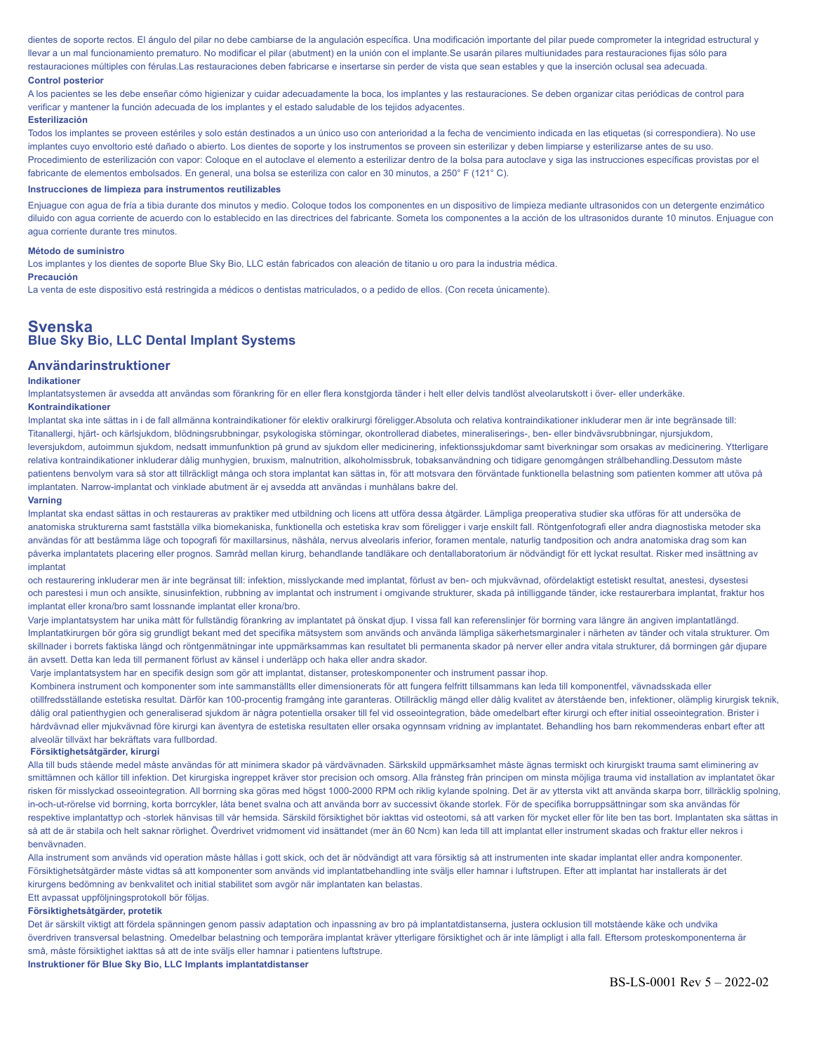dientes de soporte rectos. El ángulo del pilar no debe cambiarse de la angulación específica. Una modificación importante del pilar puede comprometer la integridad estructural y llevar a un mal funcionamiento prematuro. No modificar el pilar (abutment) en la unión con el implante.Se usarán pilares multiunidades para restauraciones fijas sólo para restauraciones múltiples con férulas.Las restauraciones deben fabricarse e insertarse sin perder de vista que sean estables y que la inserción oclusal sea adecuada.

# **Control posterior**

A los pacientes se les debe enseñar cómo higienizar y cuidar adecuadamente la boca, los implantes y las restauraciones. Se deben organizar citas periódicas de control para verificar y mantener la función adecuada de los implantes y el estado saludable de los tejidos adyacentes.

# **Esterilización**

Todos los implantes se proveen estériles y solo están destinados a un único uso con anterioridad a la fecha de vencimiento indicada en las etiquetas (si correspondiera). No use implantes cuyo envoltorio esté dañado o abierto. Los dientes de soporte y los instrumentos se proveen sin esterilizar y deben limpiarse y esterilizarse antes de su uso. Procedimiento de esterilización con vapor: Coloque en el autoclave el elemento a esterilizar dentro de la bolsa para autoclave y siga las instrucciones específicas provistas por el fabricante de elementos embolsados. En general, una bolsa se esteriliza con calor en 30 minutos, a 250° F (121° C).

# **Instrucciones de limpieza para instrumentos reutilizables**

Enjuague con agua de fría a tibia durante dos minutos y medio. Coloque todos los componentes en un dispositivo de limpieza mediante ultrasonidos con un detergente enzimático diluido con agua corriente de acuerdo con lo establecido en las directrices del fabricante. Someta los componentes a la acción de los ultrasonidos durante 10 minutos. Enjuague con agua corriente durante tres minutos.

#### **Método de suministro**

Los implantes y los dientes de soporte Blue Sky Bio, LLC están fabricados con aleación de titanio u oro para la industria médica.

# **Precaución**

La venta de este dispositivo está restringida a médicos o dentistas matriculados, o a pedido de ellos. (Con receta únicamente).

# **Svenska Blue Sky Bio, LLC Dental Implant Systems**

# **Användarinstruktioner**

# **Indikationer**

Implantatsystemen är avsedda att användas som förankring för en eller flera konstgjorda tänder i helt eller delvis tandlöst alveolarutskott i över- eller underkäke. **Kontraindikationer**

# Implantat ska inte sättas in i de fall allmänna kontraindikationer för elektiv oralkirurgi föreligger.Absoluta och relativa kontraindikationer inkluderar men är inte begränsade till: Titanallergi, hjärt- och kärlsjukdom, blödningsrubbningar, psykologiska störningar, okontrollerad diabetes, mineraliserings-, ben- eller bindvävsrubbningar, njursjukdom, leversjukdom, autoimmun sjukdom, nedsatt immunfunktion på grund av sjukdom eller medicinering, infektionssjukdomar samt biverkningar som orsakas av medicinering. Ytterligare relativa kontraindikationer inkluderar dålig munhygien, bruxism, malnutrition, alkoholmissbruk, tobaksanvändning och tidigare genomgången strålbehandling.Dessutom måste patientens benvolym vara så stor att tillräckligt många och stora implantat kan sättas in, för att motsvara den förväntade funktionella belastning som patienten kommer att utöva på implantaten. Narrow-implantat och vinklade abutment är ej avsedda att användas i munhålans bakre del.

#### **Varning**

Implantat ska endast sättas in och restaureras av praktiker med utbildning och licens att utföra dessa åtgärder. Lämpliga preoperativa studier ska utföras för att undersöka de anatomiska strukturerna samt fastställa vilka biomekaniska, funktionella och estetiska krav som föreligger i varje enskilt fall. Röntgenfotografi eller andra diagnostiska metoder ska användas för att bestämma läge och topografi för maxillarsinus, näshåla, nervus alveolaris inferior, foramen mentale, naturlig tandposition och andra anatomiska drag som kan påverka implantatets placering eller prognos. Samråd mellan kirurg, behandlande tandläkare och dentallaboratorium är nödvändigt för ett lyckat resultat. Risker med insättning av implantat

och restaurering inkluderar men är inte begränsat till: infektion, misslyckande med implantat, förlust av ben- och mjukvävnad, ofördelaktigt estetiskt resultat, anestesi, dysestesi och parestesi i mun och ansikte, sinusinfektion, rubbning av implantat och instrument i omgivande strukturer, skada på intilliggande tänder, icke restaurerbara implantat, fraktur hos implantat eller krona/bro samt lossnande implantat eller krona/bro.

Varje implantatsystem har unika mått för fullständig förankring av implantatet på önskat djup. I vissa fall kan referenslinjer för borrning vara längre än angiven implantatlängd. Implantatkirurgen bör göra sig grundligt bekant med det specifika mätsystem som används och använda lämpliga säkerhetsmarginaler i närheten av tänder och vitala strukturer. Om skillnader i borrets faktiska längd och röntgenmätningar inte uppmärksammas kan resultatet bli permanenta skador på nerver eller andra vitala strukturer, då borrningen går djupare än avsett. Detta kan leda till permanent förlust av känsel i underläpp och haka eller andra skador.

Varje implantatsystem har en specifik design som gör att implantat, distanser, proteskomponenter och instrument passar ihop.

Kombinera instrument och komponenter som inte sammanställts eller dimensionerats för att fungera felfritt tillsammans kan leda till komponentfel, vävnadsskada eller otillfredsställande estetiska resultat. Därför kan 100-procentig framgång inte garanteras. Otillräcklig mängd eller dålig kvalitet av återstående ben, infektioner, olämplig kirurgisk teknik, dålig oral patienthygien och generaliserad sjukdom är några potentiella orsaker till fel vid osseointegration, både omedelbart efter kirurgi och efter initial osseointegration. Brister i hårdvävnad eller mjukvävnad före kirurgi kan äventyra de estetiska resultaten eller orsaka ogynnsam vridning av implantatet. Behandling hos barn rekommenderas enbart efter att alveolär tillväxt har bekräftats vara fullbordad.

#### **Försiktighetsåtgärder, kirurgi**

Alla till buds stående medel måste användas för att minimera skador på värdvävnaden. Särkskild uppmärksamhet måste ägnas termiskt och kirurgiskt trauma samt eliminering av smittämnen och källor till infektion. Det kirurgiska ingreppet kräver stor precision och omsorg. Alla frånsteg från principen om minsta möjliga trauma vid installation av implantatet ökar risken för misslyckad osseointegration. All borrning ska göras med högst 1000-2000 RPM och riklig kylande spolning. Det är av yttersta vikt att använda skarpa borr, tillräcklig spolning, in-och-ut-rörelse vid borrning, korta borrcykler, låta benet svalna och att använda borr av successivt ökande storlek. För de specifika borruppsättningar som ska användas för respektive implantattyp och -storlek hänvisas till vår hemsida. Särskild försiktighet bör iakttas vid osteotomi, så att varken för mycket eller för lite ben tas bort. Implantaten ska sättas in så att de är stabila och helt saknar rörlighet. Överdrivet vridmoment vid insättandet (mer än 60 Ncm) kan leda till att implantat eller instrument skadas och fraktur eller nekros i benvävnaden.

Alla instrument som används vid operation måste hållas i gott skick, och det är nödvändigt att vara försiktig så att instrumenten inte skadar implantat eller andra komponenter. Försiktighetsåtgärder måste vidtas så att komponenter som används vid implantatbehandling inte sväljs eller hamnar i luftstrupen. Efter att implantat har installerats är det kirurgens bedömning av benkvalitet och initial stabilitet som avgör när implantaten kan belastas.

# Ett avpassat uppföljningsprotokoll bör följas.

# **Försiktighetsåtgärder, protetik**

Det är särskilt viktigt att fördela spänningen genom passiv adaptation och inpassning av bro på implantatdistanserna, justera ocklusion till motstående käke och undvika överdriven transversal belastning. Omedelbar belastning och temporära implantat kräver ytterligare försiktighet och är inte lämpligt i alla fall. Eftersom proteskomponenterna är små, måste försiktighet iakttas så att de inte sväljs eller hamnar i patientens luftstrupe.

**Instruktioner för Blue Sky Bio, LLC Implants implantatdistanser**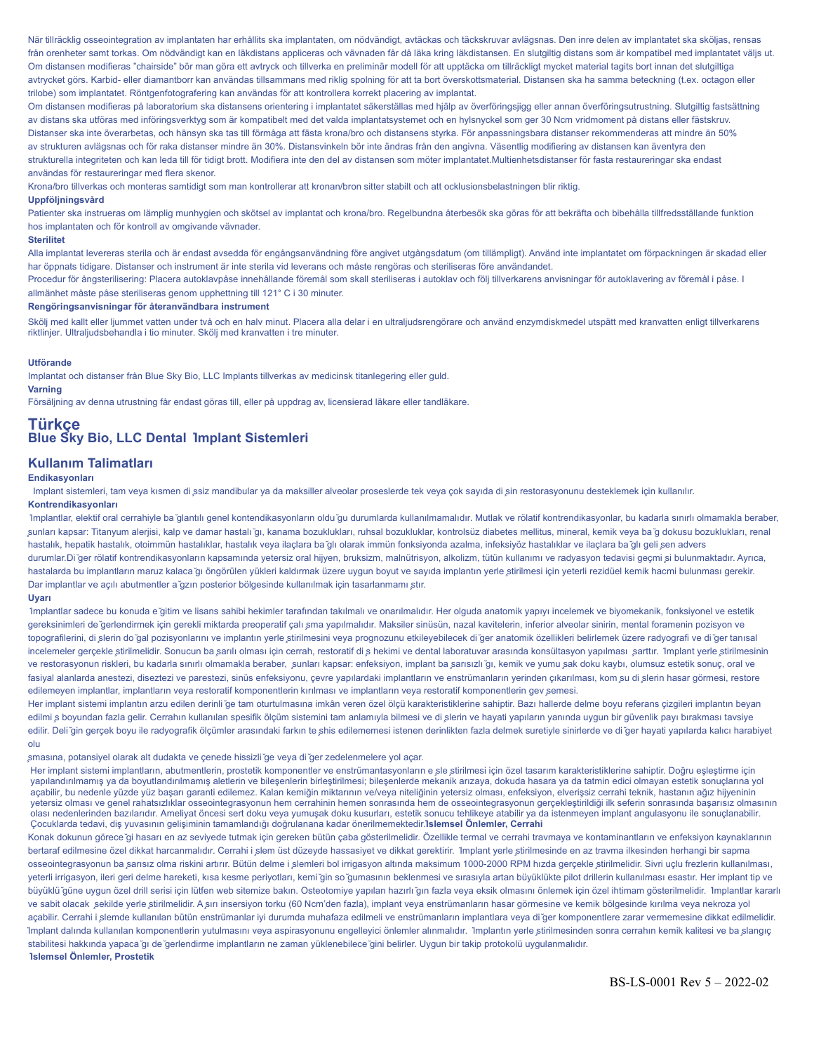När tillräcklig osseointegration av implantaten har erhållits ska implantaten, om nödvändigt, avtäckas och täckskruvar avlägsnas. Den inre delen av implantatet ska sköljas, rensas från orenheter samt torkas. Om nödvändigt kan en läkdistans appliceras och vävnaden får då läka kring läkdistansen. En slutgiltig distans som är kompatibel med implantatet väljs ut. Om distansen modifieras "chairside" bör man göra ett avtryck och tillverka en preliminär modell för att upptäcka om tillräckligt mycket material tagits bort innan det slutgiltiga avtrycket görs. Karbid- eller diamantborr kan användas tillsammans med riklig spolning för att ta bort överskottsmaterial. Distansen ska ha samma beteckning (t.ex. octagon eller trilobe) som implantatet. Röntgenfotografering kan användas för att kontrollera korrekt placering av implantat.

Om distansen modifieras på laboratorium ska distansens orientering i implantatet säkerställas med hjälp av överföringsjigg eller annan överföringsutrustning. Slutgiltig fastsättning av distans ska utföras med införingsverktyg som är kompatibelt med det valda implantatsystemet och en hylsnyckel som ger 30 Ncm vridmoment på distans eller fästskruv. Distanser ska inte överarbetas, och hänsyn ska tas till förmåga att fästa krona/bro och distansens styrka. För anpassningsbara distanser rekommenderas att mindre än 50% av strukturen avlägsnas och för raka distanser mindre än 30%. Distansvinkeln bör inte ändras från den angivna. Väsentlig modifiering av distansen kan äventyra den strukturella integriteten och kan leda till för tidigt brott. Modifiera inte den del av distansen som möter implantatet.Multienhetsdistanser för fasta restaureringar ska endast användas för restaureringar med flera skenor.

Krona/bro tillverkas och monteras samtidigt som man kontrollerar att kronan/bron sitter stabilt och att ocklusionsbelastningen blir riktig.

#### **Uppföljningsvård**

Patienter ska instrueras om lämplig munhygien och skötsel av implantat och krona/bro. Regelbundna återbesök ska göras för att bekräfta och bibehålla tillfredsställande funktion hos implantaten och för kontroll av omgivande vävnader.

#### **Sterilitet**

Alla implantat levereras sterila och är endast avsedda för engångsanvändning före angivet utgångsdatum (om tillämpligt). Använd inte implantatet om förpackningen är skadad eller har öppnats tidigare. Distanser och instrument är inte sterila vid leverans och måste rengöras och steriliseras före användandet.

Procedur för ångsterilisering: Placera autoklavpåse innehållande föremål som skall steriliseras i autoklav och följ tillverkarens anvisningar för autoklavering av föremål i påse. I allmänhet måste påse steriliseras genom upphettning till 121° C i 30 minuter.

# **Rengöringsanvisningar för återanvändbara instrument**

Skölj med kallt eller ljummet vatten under två och en halv minut. Placera alla delar i en ultraljudsrengörare och använd enzymdiskmedel utspätt med kranvatten enligt tillverkarens riktlinjer. Ultraljudsbehandla i tio minuter. Skölj med kranvatten i tre minuter.

#### **Utförande**

Implantat och distanser från Blue Sky Bio, LLC Implants tillverkas av medicinsk titanlegering eller guld. **Varning**

Försäljning av denna utrustning får endast göras till, eller på uppdrag av, licensierad läkare eller tandläkare.

# **Türkçe Blue Sky Bio, LLC Dental ̇Implant Sistemleri**

# **Kullanım Talimatları**

# **Endikasyonları**

Implant sistemleri, tam veya kısmen di ̧ssiz mandibular ya da maksiller alveolar proseslerde tek veya çok sayıda di ̧sin restorasyonunu desteklemek için kullanılır. **Kontrendikasyonları**

̇Implantlar, elektif oral cerrahiyle ba ̆glantılı genel kontendikasyonların oldu ̆gu durumlarda kullanılmamalıdır. Mutlak ve rölatif kontrendikasyonlar, bu kadarla sınırlı olmamakla beraber, ̧sunları kapsar: Titanyum alerjisi, kalp ve damar hastalı ̆gı, kanama bozuklukları, ruhsal bozukluklar, kontrolsüz diabetes mellitus, mineral, kemik veya ba ̆g dokusu bozuklukları, renal hastalık, hepatik hastalık, otoimmün hastalıklar, hastalık veya ilaçlara ba ğılı olarak immün fonksiyonda azalma, infeksiyöz hastalıklar ve ilaçlara ba ğlı geli sen advers durumlar.Di ğer rölatif kontrendikasyonların kapsamında yetersiz oral hijyen, bruksizm, malnütrisyon, alkolizm, tütün kullanımı ve radyasyon tedavisi geçmi si bulunmaktadır. Ayrıca, hastalarda bu implantların maruz kalaca ̆gı öngörülen yükleri kaldırmak üzere uygun boyut ve sayıda implantın yerle ̧stirilmesi için yeterli rezidüel kemik hacmi bulunması gerekir. Dar implantlar ve açılı abutmentler a ̆gzın posterior bölgesinde kullanılmak için tasarlanmamı ̧stır. **Uyarı**

# ̇Implantlar sadece bu konuda e ̆gitim ve lisans sahibi hekimler tarafından takılmalı ve onarılmalıdır. Her olguda anatomik yapıyı incelemek ve biyomekanik, fonksiyonel ve estetik gereksinimleri de ğerlendirmek için gerekli miktarda preoperatif çalı şma yapılmalıdır. Maksiler sinüsün, nazal kavitelerin, inferior alveolar sinirin, mental foramenin pozisyon ve topografilerini, di ̧slerin do ̆gal pozisyonlarını ve implantın yerle ̧stirilmesini veya prognozunu etkileyebilecek di ̆ger anatomik özellikleri belirlemek üzere radyografi ve di ̆ger tanısal incelemeler gerçekle stirilmelidir. Sonucun ba şarılı olması için cerrah, restoratif di ş hekimi ve dental laboratuvar arasında konsültasyon yapılması şarttır. İmplant yerle stirilmesinin ve restorasyonun riskleri, bu kadarla sınırlı olmamakla beraber, sunları kapsar: enfeksiyon, implant ba sarısızlı ğı, kemik ve yumu sak doku kaybı, olumsuz estetik sonuç, oral ve fasiyal alanlarda anestezi, diseztezi ve parestezi, sinüs enfeksiyonu, çevre yapılardaki implantların ve enstrümanların yerinden çıkarılması, kom su di slerin hasar görmesi, restore edilemeyen implantlar, implantların veya restoratif komponentlerin kırılması ve implantların veya restoratif komponentlerin gev semesi.

Her implant sistemi implantın arzu edilen derinli ̆ge tam oturtulmasına imkân veren özel ölçü karakteristiklerine sahiptir. Bazı hallerde delme boyu referans çizgileri implantın beyan edilmi ş boyundan fazla gelir. Cerrahın kullanılan spesifik ölçüm sistemini tam anlamıyla bilmesi ve di şlerin ve hayati yapıların yanında uygun bir güvenlik payı bırakması tavsiye edilir. Deli ğin gerçek boyu ile radyografik ölçümler arasındaki farkın te şhis edilememesi istenen derinlikten fazla delmek suretiyle sinirlerde ve di ğer hayati yapılarda kalıcı harabiyet olu

#### ̧smasına, potansiyel olarak alt dudakta ve çenede hissizli ̆ge veya di ̆ger zedelenmelere yol açar.

Her implant sistemi implantların, abutmentlerin, prostetik komponentler ve enstrümantasyonların e sle stirilmesi için özel tasarım karakteristiklerine sahiptir. Doğru eşleştirme için yapılandırılmamış ya da boyutlandırılmamış aletlerin ve bileşenlerin birleştirilmesi; bileşenlerde mekanik arızaya, dokuda hasara ya da tatmin edici olmayan estetik sonuçlarına yol açabilir, bu nedenle yüzde yüz başarı garanti edilemez. Kalan kemiğin miktarının ve/veya niteliğinin yetersiz olması, enfeksiyon, elverişsiz cerrahi teknik, hastanın ağız hijyeninin yetersiz olması ve genel rahatsızlıklar osseointegrasyonun hem cerrahinin hemen sonrasında hem de osseointegrasyonun gerçekleştirildiği ilk seferin sonrasında başarısız olmasının olası nedenlerinden bazılarıdır. Ameliyat öncesi sert doku veya yumuşak doku kusurları, estetik sonucu tehlikeye atabilir ya da istenmeyen implant angulasyonu ile sonuçlanabilir. Çocuklarda tedavi, diş yuvasının gelişiminin tamamlandığı doğrulanana kadar önerilmemektedir.**̇Islemsel Önlemler, Cerrahi**

Konak dokunun görece ̆gi hasarı en az seviyede tutmak için gereken bütün çaba gösterilmelidir. Özellikle termal ve cerrahi travmaya ve kontaminantların ve enfeksiyon kaynaklarının bertaraf edilmesine özel dikkat harcanmalıdır. Cerrahi i slem üst düzeyde hassasiyet ve dikkat gerektirir. 1mplant yerle stirilmesinde en az travma ilkesinden herhangi bir sapma osseointegrasyonun ba sarısız olma riskini artırır. Bütün delme i şlemleri bol irrigasyon altında maksimum 1000-2000 RPM hızda gerçekle ştirilmelidir. Sivri uçlu frezlerin kullanılması, yeterli irrigasyon, ileri geri delme hareketi, kısa kesme periyotları, kemi ̆gin so ̆gumasının beklenmesi ve sırasıyla artan büyüklükte pilot drillerin kullanılması esastır. Her implant tip ve büyüklü ̆güne uygun özel drill serisi için lütfen web sitemize bakın. Osteotomiye yapılan hazırlı ̆gın fazla veya eksik olmasını önlemek için özel ihtimam gösterilmelidir. ̇Implantlar kararlı ve sabit olacak ̧sekilde yerle ̧stirilmelidir. A ̧sırı insersiyon torku (60 Ncm'den fazla), implant veya enstrümanların hasar görmesine ve kemik bölgesinde kırılma veya nekroza yol açabilir. Cerrahi i slemde kullanılan bütün enstrümanlar iyi durumda muhafaza edilmeli ve enstrümanların implantlara veya di ğer komponentlere zarar vermemesine dikkat edilmelidir. ̇Implant dalında kullanılan komponentlerin yutulmasını veya aspirasyonunu engelleyici önlemler alınmalıdır. ̇Implantın yerle ̧stirilmesinden sonra cerrahın kemik kalitesi ve ba ̧slangıç stabilitesi hakkında yapaca ̆gı de ̆gerlendirme implantların ne zaman yüklenebilece ̆gini belirler. Uygun bir takip protokolü uygulanmalıdır. **̇Islemsel Önlemler, Prostetik**